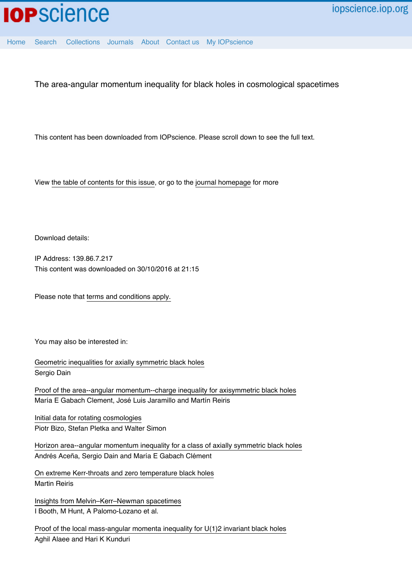

[Home](http://iopscience.iop.org/) [Search](http://iopscience.iop.org/search) [Collections](http://iopscience.iop.org/collections) [Journals](http://iopscience.iop.org/journals) [About](http://iopscience.iop.org/page/aboutioppublishing) [Contact us](http://iopscience.iop.org/contact) [My IOPscience](http://iopscience.iop.org/myiopscience)

The area-angular momentum inequality for black holes in cosmological spacetimes

This content has been downloaded from IOPscience. Please scroll down to see the full text.

View [the table of contents for this issue](http://iopscience.iop.org/0264-9381/32/14), or go to the [journal homepage](http://iopscience.iop.org/0264-9381) for more

Download details:

IP Address: 139.86.7.217 This content was downloaded on 30/10/2016 at 21:15

Please note that [terms and conditions apply.](http://iopscience.iop.org/page/terms)

You may also be interested in:

[Geometric inequalities for axially symmetric black holes](http://iopscience.iop.org/article/10.1088/0264-9381/29/7/073001) Sergio Dain

[Proof of the area--angular momentum--charge inequality for axisymmetric black holes](http://iopscience.iop.org/article/10.1088/0264-9381/30/6/065017) María E Gabach Clement, José Luis Jaramillo and Martín Reiris

[Initial data for rotating cosmologies](http://iopscience.iop.org/article/10.1088/0264-9381/32/17/175015) Piotr Bizo, Stefan Pletka and Walter Simon

[Horizon area--angular momentum inequality for a class of axially symmetric black holes](http://iopscience.iop.org/article/10.1088/0264-9381/28/10/105014) Andrés Aceña, Sergio Dain and María E Gabach Clément

[On extreme Kerr-throats and zero temperature black holes](http://iopscience.iop.org/article/10.1088/0264-9381/31/2/025001) Martin Reiris

[Insights from Melvin–Kerr–Newman spacetimes](http://iopscience.iop.org/article/10.1088/0264-9381/32/23/235025) I Booth, M Hunt, A Palomo-Lozano et al.

[Proof of the local mass-angular momenta inequality for U\(1\)2 invariant black holes](http://iopscience.iop.org/article/10.1088/0264-9381/32/16/165020) Aghil Alaee and Hari K Kunduri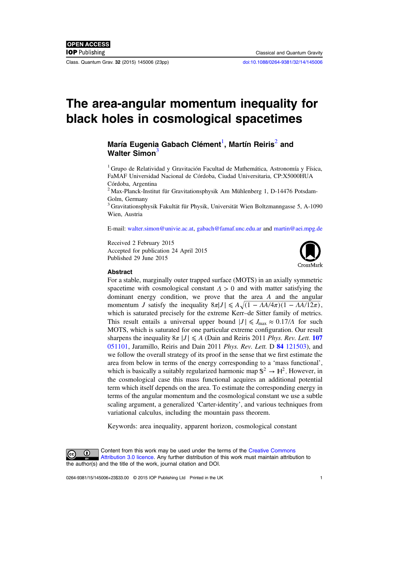Class. Quantum Grav. 32 (2015) 145006 (23pp) [doi:10.1088/0264-9381/32/14/145006](http://dx.doi.org/10.1088/0264-9381/32/14/145006)

# The area-angular momentum inequality for black holes in cosmological spacetimes

## María Eugenia Gabach Clément<sup>1</sup>, Martín Reiris<sup>2</sup> and Walter Simon<sup>3</sup>

 $1$  Grupo de Relatividad y Gravitación Facultad de Mathemática, Astronomía y Física, FaMAF Universidad Nacional de Córdoba, Ciudad Universitaria, CP:X5000HUA Córdoba, Argentina

<sup>2</sup> Max-Planck-Institut für Gravitationsphysik Am Mühlenberg 1, D-14476 Potsdam-Golm, Germany

<sup>3</sup> Gravitationsphysik Fakultät für Physik, Universität Wien Boltzmanngasse 5, A-1090 Wien, Austria

E-mail: [walter.simon@univie.ac.at,](mailto:walter.simon@univie.ac.at) [gabach@famaf.unc.edu.ar](mailto:gabach@famaf.unc.edu.ar) and [martin@aei.mpg.de](mailto:martin@aei.mpg.de)

Received 2 February 2015 Accepted for publication 24 April 2015 Published 29 June 2015



#### Abstract

For a stable, marginally outer trapped surface (MOTS) in an axially symmetric spacetime with cosmological constant  $\Lambda > 0$  and with matter satisfying the dominant energy condition, we prove that the area A and the angular momentum *J* satisfy the inequality  $8\pi |J| \leq A \sqrt{(1 - AA/4\pi)(1 - AA/12\pi)}$ , which is saturated precisely for the extreme Kerr–de Sitter family of metrics. This result entails a universal upper bound  $|J| \leq J_{\text{max}} \approx 0.17/A$  for such MOTS, which is saturated for one particular extreme configuration. Our result sharpens the inequality  $8\pi |J| \leq A$  (Dain and Reiris 2011 *Phys. Rev. Lett.* [107](http://dx.doi.org/10.1103/physrevlett.107.051101) [051101](http://dx.doi.org/10.1103/physrevlett.107.051101), Jaramillo, Reiris and Dain 2011 Phys. Rev. Lett. D 84 [121503\)](http://dx.doi.org/10.1103/physrevd.84.121503), and we follow the overall strategy of its proof in the sense that we first estimate the area from below in terms of the energy corresponding to a 'mass functional', which is basically a suitably regularized harmonic map  $\mathbb{S}^2 \to \mathbb{H}^2$ . However, in the cosmological case this mass functional acquires an additional potential term which itself depends on the area. To estimate the corresponding energy in terms of the angular momentum and the cosmological constant we use a subtle scaling argument, a generalized 'Carter-identity', and various techniques from variational calculus, including the mountain pass theorem.

Keywords: area inequality, apparent horizon, cosmological constant



Content from this work may be used under the terms of the [Creative Commons](http://creativecommons.org/licenses/by/3.0/) [Attribution 3.0 licence](http://creativecommons.org/licenses/by/3.0/). Any further distribution of this work must maintain attribution to the author(s) and the title of the work, journal citation and DOI.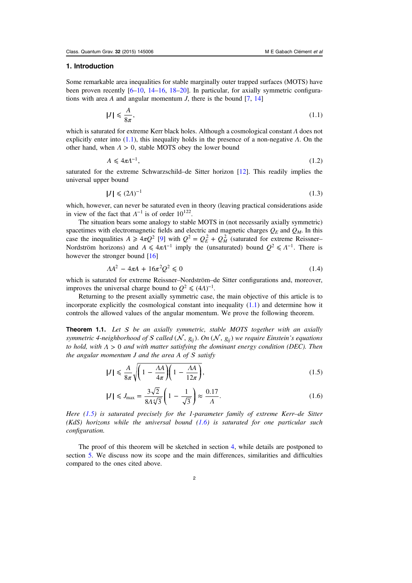#### <span id="page-2-0"></span>1. Introduction

Some remarkable area inequalities for stable marginally outer trapped surfaces (MOTS) have been proven recently [[6](#page-22-0)–[10,](#page-22-0) [14](#page-23-0)–[16,](#page-23-0) [18](#page-23-0)–[20\]](#page-23-0). In particular, for axially symmetric configurations with area A and angular momentum *J*, there is the bound  $[7, 14]$  $[7, 14]$  $[7, 14]$  $[7, 14]$  $[7, 14]$ 

$$
|J| \le \frac{A}{8\pi},\tag{1.1}
$$

which is saturated for extreme Kerr black holes. Although a cosmological constant Λ does not explicitly enter into  $(1.1)$ , this inequality holds in the presence of a non-negative  $\Lambda$ . On the other hand, when *Λ* > 0, stable MOTS obey the lower bound

$$
A \leq 4\pi \Lambda^{-1},\tag{1.2}
$$

saturated for the extreme Schwarzschild–de Sitter horizon [[12\]](#page-22-0). This readily implies the universal upper bound

$$
|J| \leqslant (2\Lambda)^{-1} \tag{1.3}
$$

which, however, can never be saturated even in theory (leaving practical considerations aside in view of the fact that  $\Lambda^{-1}$  is of order 10<sup>122</sup>.

The situation bears some analogy to stable MOTS in (not necessarily axially symmetric) spacetimes with electromagnetic fields and electric and magnetic charges  $Q_E$  and  $Q_M$ . In this case the inequalities  $A \geq 4\pi Q^2$  [\[9](#page-22-0)] with  $Q^2 = Q_E^2 + Q_M^2$  (saturated for extreme Reissner– Nordström horizons) and  $A \leq 4\pi\Lambda^{-1}$  imply the (unsaturated) bound  $Q^2 \leq \Lambda^{-1}$ . There is however the stronger bound [\[16](#page-23-0)]

$$
AA^2 - 4\pi A + 16\pi^2 Q^2 \le 0\tag{1.4}
$$

which is saturated for extreme Reissner–Nordström–de Sitter configurations and, moreover, improves the universal charge bound to  $Q^2 \leq (4\Lambda)^{-1}$ .

Returning to the present axially symmetric case, the main objective of this article is to incorporate explicitly the cosmological constant into inequality  $(1.1)$  and determine how it controls the allowed values of the angular momentum. We prove the following theorem.

**Theorem 1.1.** Let  $S$  be an axially symmetric, stable MOTS together with an axially symmetric 4-neighborhood of S called (N,  $g_{ii}$ ). On (N,  $g_{ii}$ ) we require Einstein's equations to hold, with  $\Lambda > 0$  and with matter satisfying the dominant energy condition (DEC). Then the angular momentum  $J$  and the area  $A$  of  $S$  satisfy

$$
|J| \le \frac{A}{8\pi} \sqrt{\left(1 - \frac{\Lambda A}{4\pi}\right)} \left(1 - \frac{\Lambda A}{12\pi}\right),\tag{1.5}
$$

$$
|J| \le J_{\text{max}} = \frac{3\sqrt{2}}{8\Lambda\sqrt[4]{3}} \left(1 - \frac{1}{\sqrt{3}}\right) \approx \frac{0.17}{\Lambda}.
$$
 (1.6)

Here  $(1.5)$  is saturated precisely for the 1-parameter family of extreme Kerr–de Sitter  $(KdS)$  horizons while the universal bound  $(1.6)$  is saturated for one particular such configuration.

The proof of this theorem will be sketched in section [4,](#page-9-0) while details are postponed to section [5.](#page-12-0) We discuss now its scope and the main differences, similarities and difficulties compared to the ones cited above.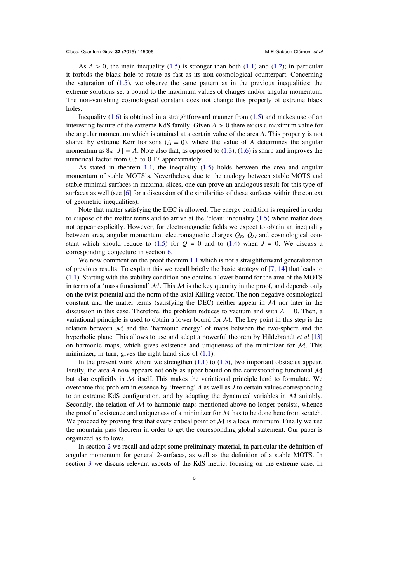As  $\Lambda > 0$ , the main inequality ([1.5](#page-2-0)) is stronger than both [\(1.1\)](#page-2-0) and [\(1.2\)](#page-2-0); in particular it forbids the black hole to rotate as fast as its non-cosmological counterpart. Concerning the saturation of  $(1.5)$ , we observe the same pattern as in the previous inequalities: the extreme solutions set a bound to the maximum values of charges and/or angular momentum. The non-vanishing cosmological constant does not change this property of extreme black holes.

Inequality  $(1.6)$  $(1.6)$  $(1.6)$  is obtained in a straightforward manner from  $(1.5)$  and makes use of an interesting feature of the extreme KdS family. Given *Λ* > 0 there exists a maximum value for the angular momentum which is attained at a certain value of the area A. This property is not shared by extreme Kerr horizons  $(A = 0)$ , where the value of A determines the angular momentum as  $8\pi |J| = A$ . Note also that, as opposed to [\(1.3](#page-2-0)), ([1.6](#page-2-0)) is sharp and improves the numerical factor from 0.5 to 0.17 approximately.

As stated in theorem [1.1](#page-2-0), the inequality  $(1.5)$  holds between the area and angular momentum of stable MOTS's. Nevertheless, due to the analogy between stable MOTS and stable minimal surfaces in maximal slices, one can prove an analogous result for this type of surfaces as well (see [[6\]](#page-22-0) for a discussion of the similarities of these surfaces within the context of geometric inequalities).

Note that matter satisfying the DEC is allowed. The energy condition is required in order to dispose of the matter terms and to arrive at the 'clean' inequality  $(1.5)$  where matter does not appear explicitly. However, for electromagnetic fields we expect to obtain an inequality between area, angular momentum, electromagnetic charges  $Q_E$ ,  $Q_M$  and cosmological con-stant which should reduce to [\(1.5\)](#page-2-0) for  $Q = 0$  and to ([1.4](#page-2-0)) when  $J = 0$ . We discuss a corresponding conjecture in section [6](#page-21-0).

We now comment on the proof theorem [1.1](#page-2-0) which is not a straightforward generalization of previous results. To explain this we recall briefly the basic strategy of [\[7](#page-22-0), [14\]](#page-23-0) that leads to ([1.1](#page-2-0)). Starting with the stability condition one obtains a lower bound for the area of the MOTS in terms of a 'mass functional'  $\mathcal{M}$ . This  $\mathcal{M}$  is the key quantity in the proof, and depends only on the twist potential and the norm of the axial Killing vector. The non-negative cosmological constant and the matter terms (satisfying the DEC) neither appear in  $\mathcal M$  nor later in the discussion in this case. Therefore, the problem reduces to vacuum and with  $\Lambda = 0$ . Then, a variational principle is used to obtain a lower bound for  $M$ . The key point in this step is the relation between  $M$  and the 'harmonic energy' of maps between the two-sphere and the hyperbolic plane. This allows to use and adapt a powerful theorem by Hildebrandt et al [\[13](#page-22-0)] on harmonic maps, which gives existence and uniqueness of the minimizer for  $M$ . This minimizer, in turn, gives the right hand side of  $(1.1)$ .

In the present work where we strengthen  $(1.1)$  $(1.1)$  $(1.1)$  to  $(1.5)$ , two important obstacles appear. Firstly, the area A now appears not only as upper bound on the corresponding functional  $\mathcal M$ but also explicitly in  $M$  itself. This makes the variational principle hard to formulate. We overcome this problem in essence by 'freezing' A as well as J to certain values corresponding to an extreme KdS configuration, and by adapting the dynamical variables in  $\mathcal M$  suitably. Secondly, the relation of  $M$  to harmonic maps mentioned above no longer persists, whence the proof of existence and uniqueness of a minimizer for  $\mathcal M$  has to be done here from scratch. We proceed by proving first that every critical point of  $\mathcal M$  is a local minimum. Finally we use the mountain pass theorem in order to get the corresponding global statement. Our paper is organized as follows.

In section [2](#page-4-0) we recall and adapt some preliminary material, in particular the definition of angular momentum for general 2-surfaces, as well as the definition of a stable MOTS. In section [3](#page-6-0) we discuss relevant aspects of the KdS metric, focusing on the extreme case. In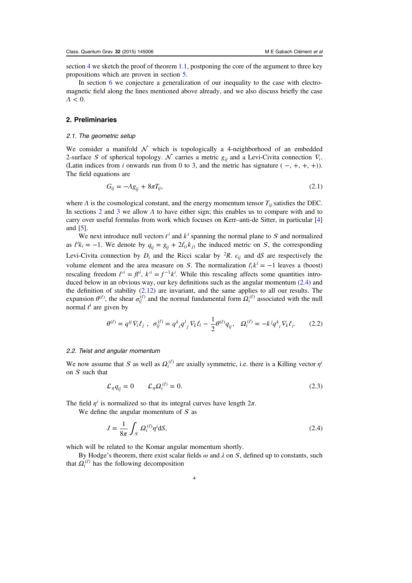<span id="page-4-0"></span>section [4](#page-9-0) we sketch the proof of theorem [1.1](#page-2-0), postponing the core of the argument to three key propositions which are proven in section [5.](#page-12-0)

In section [6](#page-21-0) we conjecture a generalization of our inequality to the case with electromagnetic field along the lines mentioned above already, and we also discuss briefly the case *Λ* < 0.

## 2. Preliminaries

## 2.1. The geometric setup

We consider a manifold  $\mathcal N$  which is topologically a 4-neighborhood of an embedded 2-surface S of spherical topology.  $\mathcal N$  carries a metric  $g_{ii}$  and a Levi-Civita connection  $\nabla_i$ . (Latin indices from i onwards run from 0 to 3, and the metric has signature  $(-, +, +, +)$ ). The field equations are

$$
G_{ij} = -\Lambda g_{ij} + 8\pi T_{ij},\tag{2.1}
$$

where  $\Lambda$  is the cosmological constant, and the energy momentum tensor  $T_{ii}$  satisfies the DEC. In sections 2 and [3](#page-6-0) we allow  $\Lambda$  to have either sign; this enables us to compare with and to carry over useful formulas from work which focuses on Kerr–anti-de Sitter, in particular [\[4](#page-22-0)] and [[5](#page-22-0)].

We next introduce null vectors  $\ell^i$  and  $k^i$  spanning the normal plane to S and normalized as  $\ell^{i}k_{i} = -1$ . We denote by  $q_{ij} = g_{ij} + 2\ell_{i}k_{j}$  the induced metric on *S*, the corresponding Levi-Civita connection by  $D_i$  and the Ricci scalar by <sup>2</sup>R.  $\epsilon_{ij}$  and dS are respectively the volume element and the area measure on S. The normalization  $\ell_i k^i = -1$  leaves a (boost) rescaling freedom  $\ell'^i = f \ell^i$ ,  $k'^i = f^{-1} k^i$ . While this rescaling affects some quantities introduced below in an obvious way, our key definitions such as the angular momentum  $(2.4)$  and the definition of stability  $(2.12)$  are invariant, and the same applies to all our results. The expansion  $\theta^{(\ell)}$ , the shear  $\sigma_{ij}^{(\ell)}$  and the normal fundamental form  $\Omega_i^{(\ell)}$  associated with the null normal  $l^i$  are given by

$$
\theta^{(\ell)} = q^{ij} \nabla_i \ell_j \; , \; \sigma_{ij}^{(\ell)} = q^k{}_i q^l{}_j \nabla_k \ell_l - \frac{1}{2} \theta^{(\ell)} q_{ij}, \; \Omega_i^{(\ell)} = -k^j q^k{}_i \nabla_k \ell_j. \tag{2.2}
$$

#### 2.2. Twist and angular momentum

We now assume that S as well as  $\Omega_i^{(\ell)}$  are axially symmetric, i.e. there is a Killing vector  $\eta^i$ on  $S$  such that

$$
\mathcal{L}_{\eta} q_{ij} = 0 \qquad \mathcal{L}_{\eta} \Omega_i^{(\ell)} = 0. \tag{2.3}
$$

The field  $\eta^i$  is normalized so that its integral curves have length  $2\pi$ .

We define the angular momentum of  $S$  as

$$
J = \frac{1}{8\pi} \int_{\mathcal{S}} \Omega_i^{(\ell)} \eta^i \mathrm{d}S,\tag{2.4}
$$

which will be related to the Komar angular momentum shortly.

By Hodge's theorem, there exist scalar fields  $\omega$  and  $\lambda$  on S, defined up to constants, such that  $\Omega_i^{(\ell)}$  has the following decomposition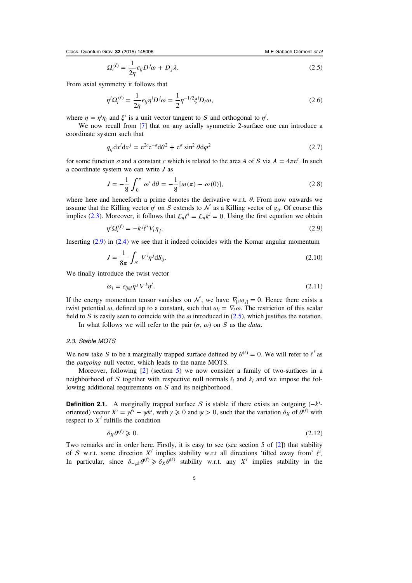<span id="page-5-0"></span>Class. Quantum Grav. 32 (2015) 145006 M E Gabach Clément et al.

$$
\Omega_i^{(\ell)} = \frac{1}{2\eta} \epsilon_{ij} D^j \omega + D_j \lambda. \tag{2.5}
$$

From axial symmetry it follows that

$$
\eta^i \Omega_i^{(\ell)} = \frac{1}{2\eta} \epsilon_{ij} \eta^i D^j \omega = \frac{1}{2} \eta^{-1/2} \xi^i D_i \omega,
$$
\n(2.6)

where  $\eta = \eta^i \eta_i$  and  $\xi^i$  is a unit vector tangent to S and orthogonal to  $\eta^i$ .

We now recall from [\[7](#page-22-0)] that on any axially symmetric 2-surface one can introduce a coordinate system such that

$$
q_{ij} dx^{i} dx^{j} = e^{2c} e^{-\sigma} d\theta^{2} + e^{\sigma} \sin^{2} \theta d\varphi^{2}
$$
 (2.7)

for some function  $\sigma$  and a constant c which is related to the area A of S via  $A = 4\pi e^c$ . In such a coordinate system we can write J as

$$
J = -\frac{1}{8} \int_0^{\pi} \omega' d\theta = -\frac{1}{8} [\omega(\pi) - \omega(0)],
$$
 (2.8)

where here and henceforth a prime denotes the derivative w.r.t.  $\theta$ . From now onwards we assume that the Killing vector  $\eta^i$  on S extends to  $\mathcal N$  as a Killing vector of  $g_{ij}$ . Of course this implies [\(2.3\)](#page-4-0). Moreover, it follows that  $\mathcal{L}_n \ell^i = \mathcal{L}_n k^i = 0$ . Using the first equation we obtain

$$
\eta^i \Omega_i^{(\ell)} = -k^j \ell^i \nabla_i \eta_j. \tag{2.9}
$$

Inserting (2.9) in [\(2.4\)](#page-4-0) we see that it indeed coincides with the Komar angular momentum

$$
J = \frac{1}{8\pi} \int_{\mathcal{S}} \nabla^i \eta^j \mathrm{d}S_{ij}.\tag{2.10}
$$

We finally introduce the twist vector

$$
\omega_i = \epsilon_{ijkl} \eta^j \nabla^k \eta^l. \tag{2.11}
$$

If the energy momentum tensor vanishes on  $\mathcal{N}$ , we have  $\nabla_i \omega_{i1} = 0$ . Hence there exists a twist potential  $\omega$ , defined up to a constant, such that  $\omega_i = \nabla_i \omega$ . The restriction of this scalar field to S is easily seen to coincide with the  $\omega$  introduced in ([2.5](#page-4-0)), which justifies the notation.

In what follows we will refer to the pair  $(\sigma, \omega)$  on S as the *data*.

#### 2.3. Stable MOTS

We now take S to be a marginally trapped surface defined by  $\theta^{(\ell)} = 0$ . We will refer to  $\ell^{i}$  as the *outgoing* null vector, which leads to the name MOTS.

Moreover, following [[2\]](#page-22-0) (section [5](#page-12-0)) we now consider a family of two-surfaces in a neighborhood of S together with respective null normals  $\ell_i$  and  $k_i$  and we impose the following additional requirements on  $S$  and its neighborhood.

**Definition 2.1.** A marginally trapped surface S is stable if there exists an outgoing  $(-k^i - n)$ oriented) vector  $X^i = \gamma \ell^i - \psi k^i$ , with  $\gamma \ge 0$  and  $\psi > 0$ , such that the variation  $\delta_X$  of  $\theta^{(\ell)}$  with respect to  $X<sup>i</sup>$  fulfills the condition

$$
\delta_X \theta^{(\ell)} \geq 0. \tag{2.12}
$$

Two remarks are in order here. Firstly, it is easy to see (see section 5 of [\[2](#page-22-0)]) that stability of S w.r.t. some direction  $X^i$  implies stability w.r.t all directions 'tilted away from'  $\ell^i$ . In particular, since  $\delta_{-\psi k} \theta^{(\ell)} \ge \delta_X \theta^{(\ell)}$  stability w.r.t. any X<sup>i</sup> implies stability in the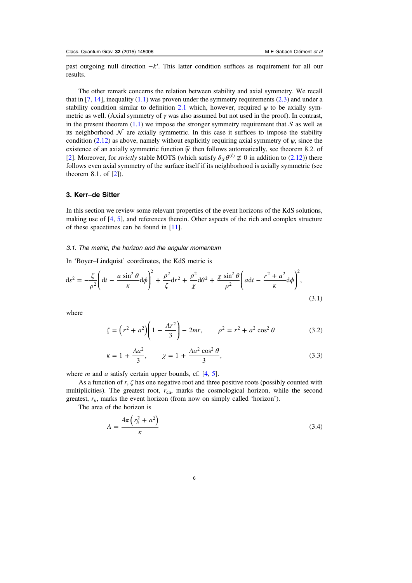<span id="page-6-0"></span>past outgoing null direction  $-k^i$ . This latter condition suffices as requirement for all our results.

The other remark concerns the relation between stability and axial symmetry. We recall that in  $[7, 14]$  $[7, 14]$  $[7, 14]$  $[7, 14]$ , inequality  $(1.1)$  $(1.1)$  $(1.1)$  was proven under the symmetry requirements  $(2.3)$  and under a stability condition similar to definition [2.1](#page-5-0) which, however, required  $\psi$  to be axially symmetric as well. (Axial symmetry of  $\gamma$  was also assumed but not used in the proof). In contrast, in the present theorem  $(1.1)$  we impose the stronger symmetry requirement that S as well as its neighborhood  $\mathcal N$  are axially symmetric. In this case it suffices to impose the stability condition ([2.12](#page-5-0)) as above, namely without explicitly requiring axial symmetry of  $\psi$ , since the existence of an axially symmetric function  $\widetilde{\psi}$  then follows automatically, see theorem 8.2. of [[2\]](#page-22-0). Moreover, for *strictly* stable MOTS (which satisfy  $\delta_X \theta^{(\ell)} \neq 0$  in addition to ([2.12](#page-5-0))) there follows even axial symmetry of the surface itself if its neighborhood is axially symmetric (see theorem 8.1. of [\[2](#page-22-0)]).

## 3. Kerr–de Sitter

In this section we review some relevant properties of the event horizons of the KdS solutions, making use of [[4,](#page-22-0) [5](#page-22-0)], and references therein. Other aspects of the rich and complex structure of these spacetimes can be found in [[11\]](#page-22-0).

#### 3.1. The metric, the horizon and the angular momentum

In 'Boyer–Lindquist' coordinates, the KdS metric is

$$
ds^{2} = -\frac{\zeta}{\rho^{2}} \left( dt - \frac{a \sin^{2} \theta}{\kappa} d\phi \right)^{2} + \frac{\rho^{2}}{\zeta} dr^{2} + \frac{\rho^{2}}{\chi} d\theta^{2} + \frac{\chi \sin^{2} \theta}{\rho^{2}} \left( a dt - \frac{r^{2} + a^{2}}{\kappa} d\phi \right)^{2},
$$
\n(3.1)

where

$$
\zeta = \left(r^2 + a^2\right) \left(1 - \frac{\Lambda r^2}{3}\right) - 2mr, \qquad \rho^2 = r^2 + a^2 \cos^2 \theta \tag{3.2}
$$

$$
\kappa = 1 + \frac{\Lambda a^2}{3}, \qquad \chi = 1 + \frac{\Lambda a^2 \cos^2 \theta}{3}, \tag{3.3}
$$

where  $m$  and  $a$  satisfy certain upper bounds, cf.  $[4, 5]$  $[4, 5]$  $[4, 5]$  $[4, 5]$ .

As a function of r,  $\zeta$  has one negative root and three positive roots (possibly counted with multiplicities). The greatest root,  $r_{\text{ch}}$ , marks the cosmological horizon, while the second greatest,  $r<sub>h</sub>$ , marks the event horizon (from now on simply called 'horizon').

The area of the horizon is

$$
A = \frac{4\pi \left(r_h^2 + a^2\right)}{\kappa} \tag{3.4}
$$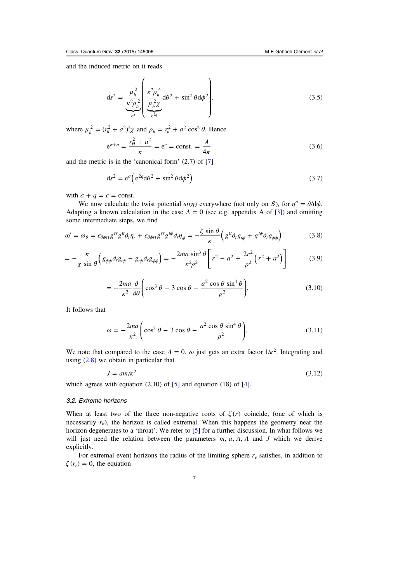<span id="page-7-0"></span>and the induced metric on it reads

$$
ds^{2} = \frac{\mu_{h}^{2}}{\kappa^{2} \rho_{h}^{2}} \left( \frac{\kappa^{2} \rho_{h}^{4}}{\mu_{h}^{2} \chi} d\theta^{2} + \sin^{2} \theta d\phi^{2} \right),
$$
\n(3.5)  
\nwhere  $\mu_{h}^{2} = (r_{h}^{2} + a^{2})^{2} \chi$  and  $\rho_{h} = r_{h}^{2} + a^{2} \cos^{2} \theta$ . Hence

 $\lambda$ 

 $\overline{a}$ 

$$
e^{\sigma+q} = \frac{r_H^2 + a^2}{\kappa} = e^c = \text{const.} = \frac{A}{4\pi}
$$
 (3.6)

and the metric is in the 'canonical form' (2.7) of [\[7](#page-22-0)]

$$
ds^2 = e^{\sigma} \left( e^{2q} d\theta^2 + \sin^2 \theta d\phi^2 \right)
$$
 (3.7)

with  $\sigma + q = c = \text{const.}$ 

We now calculate the twist potential  $\omega(\eta)$  everywhere (not only on S), for  $\eta^a = \partial/\partial \phi$ . Adapting a known calculation in the case  $\Lambda = 0$  (see e.g. appendix A of [\[3](#page-22-0)]) and omitting some intermediate steps, we find

$$
\omega' = \omega_{\theta} = \epsilon_{\theta\phi\tau\tau} g^{\tau\tau} g^{\tau\tau} \partial_{\tau} \eta_{t} + \epsilon_{\theta\phi\tau\tau} g^{\tau\tau} g^{\tau\phi} \partial_{\tau} \eta_{\phi} = -\frac{\zeta \sin \theta}{\kappa} \left( g^{\tau\tau} \partial_{\tau} g_{t\phi} + g^{\tau\phi} \partial_{\tau} g_{\phi\phi} \right) \tag{3.8}
$$

$$
= -\frac{\kappa}{\chi \sin \theta} \left( g_{\phi\phi} \partial_r g_{t\phi} - g_{t\phi} \partial_r g_{\phi\phi} \right) = -\frac{2ma \sin^3 \theta}{\kappa^2 \rho^2} \left[ r^2 - a^2 + \frac{2r^2}{\rho^2} \left( r^2 + a^2 \right) \right]
$$
(3.9)

$$
= -\frac{2ma}{\kappa^2} \frac{\partial}{\partial \theta} \left( \cos^3 \theta - 3 \cos \theta - \frac{a^2 \cos \theta \sin^4 \theta}{\rho^2} \right).
$$
 (3.10)

It follows that

$$
\omega = -\frac{2ma}{\kappa^2} \left( \cos^3 \theta - 3 \cos \theta - \frac{a^2 \cos \theta \sin^4 \theta}{\rho^2} \right).
$$
 (3.11)

We note that compared to the case  $\Lambda = 0$ ,  $\omega$  just gets an extra factor  $1/\kappa^2$ . Integrating and using  $(2.8)$  $(2.8)$  $(2.8)$  we obtain in particular that

$$
J = am/\kappa^2 \tag{3.12}
$$

which agrees with equation  $(2.10)$  of  $[5]$  $[5]$  and equation  $(18)$  of  $[4]$  $[4]$ .

## 3.2. Extreme horizons

When at least two of the three non-negative roots of  $\zeta(r)$  coincide, (one of which is necessarily  $r_h$ ), the horizon is called extremal. When this happens the geometry near the horizon degenerates to a 'throat'. We refer to [\[5](#page-22-0)] for a further discussion. In what follows we will just need the relation between the parameters  $m$ ,  $a$ ,  $A$ ,  $A$  and  $J$  which we derive explicitly.

For extremal event horizons the radius of the limiting sphere  $r_e$  satisfies, in addition to  $\zeta(r_e) = 0$ , the equation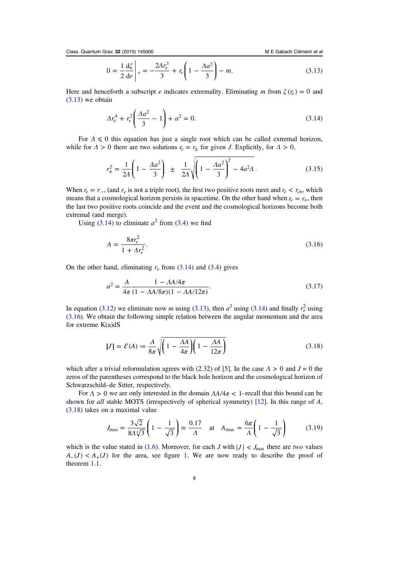$$
0 = \frac{1}{2} \frac{d\zeta}{dr} \bigg|_{e} = -\frac{2Ar_e^3}{3} + r_e \bigg( 1 - \frac{Aa^2}{3} \bigg) - m.
$$
 (3.13)

<span id="page-8-0"></span>Here and henceforth a subscript e indicates extremality. Eliminating m from  $\zeta(r_e) = 0$  and  $(3.13)$  $(3.13)$  $(3.13)$  we obtain

$$
\Lambda r_e^4 + r_e^2 \left( \frac{\Lambda a^2}{3} - 1 \right) + a^2 = 0. \tag{3.14}
$$

For  $\Lambda \leq 0$  this equation has just a single root which can be called extremal horizon, while for  $\Lambda > 0$  there are two solutions  $r_e = r_{\pm}$  for given *J*. Explicitly, for  $\Lambda > 0$ ,

$$
r_{\pm}^2 = \frac{1}{2A} \left( 1 - \frac{Aa^2}{3} \right) \pm \frac{1}{2A} \sqrt{\left( 1 - \frac{Aa^2}{3} \right)^2 - 4a^2 A}.
$$
 (3.15)

When  $r_e = r_{\perp}$ , (and  $r_e$  is not a triple root), the first two positive roots meet and  $r_e < r_{ch}$ , which means that a cosmological horizon persists in spacetime. On the other hand when  $r_e = r_+$ , then the last two positive roots coincide and the event and the cosmological horizons become both extremal (and merge).

Using (3.14) to eliminate  $a^2$  from [\(3.4\)](#page-6-0) we find

$$
A = \frac{8\pi r_e^2}{1 + Ar_e^2}.\tag{3.16}
$$

On the other hand, eliminating  $r_e$  from (3.14) and [\(3.4\)](#page-6-0) gives

$$
a^2 = \frac{A}{4\pi} \frac{1 - AA/4\pi}{(1 - AA/8\pi)(1 - AA/12\pi)}.
$$
\n(3.17)

In equation ([3.12](#page-7-0)) we eliminate now *m* using [\(3.13\)](#page-7-0), then  $a^2$  using (3.14) and finally  $r_e^2$  using (3.16). We obtain the following simple relation between the angular momentum and the area for extreme K(a)dS

$$
|J| = \mathcal{E}(A) \coloneqq \frac{A}{8\pi} \sqrt{\left(1 - \frac{A A}{4\pi}\right) \left(1 - \frac{A A}{12\pi}\right)}\tag{3.18}
$$

which after a trivial reformulation agrees with (2.32) of [[5](#page-22-0)]. In the case  $\Lambda > 0$  and  $J = 0$  the zeros of the parentheses correspond to the black hole horizon and the cosmological horizon of Schwarzschild–de Sitter, respectively.

For  $\Lambda > 0$  we are only interested in the domain  $\Lambda A/4\pi < 1$ -recall that this bound can be shown for all stable MOTS (irrespectively of spherical symmetry) [[12\]](#page-22-0). In this range of A, (3.18) takes on a maximal value

$$
J_{\text{max}} = \frac{3\sqrt{2}}{8\Lambda\sqrt[4]{3}} \left(1 - \frac{1}{\sqrt{3}}\right) \approx \frac{0.17}{\Lambda} \quad \text{at} \quad A_{\text{max}} = \frac{6\pi}{\Lambda} \left(1 - \frac{1}{\sqrt{3}}\right) \tag{3.19}
$$

which is the value stated in [\(1.6\)](#page-2-0). Moreover, for each *J* with  $|J| < J_{\text{max}}$  there are two values  $A_-(J) < A_+(J)$  for the area, see figure [1](#page-9-0). We are now ready to describe the proof of theorem [1.1.](#page-2-0)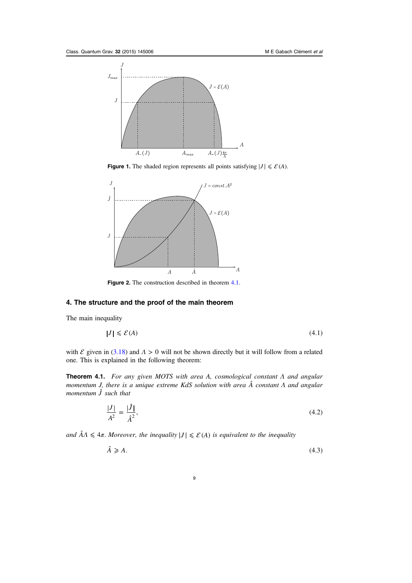<span id="page-9-0"></span>

**Figure 1.** The shaded region represents all points satisfying  $|J| \le \mathcal{E}(A)$ .



Figure 2. The construction described in theorem 4.1.

## 4. The structure and the proof of the main theorem

The main inequality

$$
J \mid \leqslant \mathcal{E}(A) \tag{4.1}
$$

with  $\mathcal E$  given in ([3.18](#page-8-0)) and  $\Lambda > 0$  will not be shown directly but it will follow from a related one. This is explained in the following theorem:

**Theorem 4.1.** For any given MOTS with area A, cosmological constant  $\Lambda$  and angular momentum J, there is a unique extreme KdS solution with area *A*ˆ constant Λ and angular momentum *J*ˆ such that

$$
\frac{|J|}{A^2} = \frac{|\hat{J}|}{\hat{A}^2},\tag{4.2}
$$

and  $\hat{A}\Lambda \leq 4\pi$ . Moreover, the inequality  $|J| \leq \mathcal{E}(A)$  is equivalent to the inequality

$$
\hat{A} \geqslant A. \tag{4.3}
$$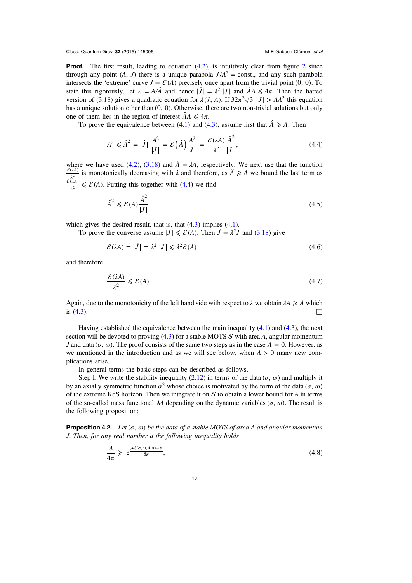<span id="page-10-0"></span>**Proof.** The first result, leading to equation  $(4.2)$  $(4.2)$  $(4.2)$ , is intuitively clear from figure [2](#page-9-0) since through any point  $(A, J)$  there is a unique parabola  $J/A^2$  = const., and any such parabola intersects the 'extreme' curve  $J = \mathcal{E}(A)$  precisely once apart from the trivial point (0, 0). To state this rigorously, let  $\lambda = A/\hat{A}$  and hence  $|\hat{J}| = \lambda^2 |J|$  and  $\hat{A}\Lambda \leq 4\pi$ . Then the hatted version of [\(3.18\)](#page-8-0) gives a quadratic equation for  $\lambda(J, A)$ . If  $32\pi^2\sqrt{3}$   $|J| > AA^2$  this equation has a unique solution other than  $(0, 0)$ . Otherwise, there are two non-trivial solutions but only one of them lies in the region of interest  $\hat{A}\Lambda \leq 4\pi$ .

To prove the equivalence between ([4.1](#page-9-0)) and ([4.3](#page-9-0)), assume first that  $\hat{A} \geq A$ . Then

$$
A^{2} \leq \hat{A}^{2} = |\hat{J}| \frac{A^{2}}{|J|} = \mathcal{E}(\hat{A}) \frac{A^{2}}{|J|} = \frac{\mathcal{E}(\lambda A)}{\lambda^{2}} \frac{\hat{A}^{2}}{|J|},
$$
(4.4)

where we have used ([4.2](#page-9-0)), ([3.18](#page-8-0)) and  $\hat{A} = \lambda A$ , respectively. We next use that the function  $\frac{\mathcal{E}(\lambda A)}{\lambda^{2}}$  is monotonically decreasing with  $\lambda$  and therefore, as  $\hat{A} \ge A$  we bound the last term as  $\frac{\mathcal{E}(\lambda A)}{\lambda^2} \leq \mathcal{E}(A)$ . Putting this together with (4.4) we find

$$
\hat{A}^2 \leqslant \mathcal{E}(A) \frac{\hat{A}^2}{|J|} \tag{4.5}
$$

which gives the desired result, that is, that  $(4.3)$  $(4.3)$  $(4.3)$  implies  $(4.1)$ .

To prove the converse assume  $|J| \le \mathcal{E}(A)$ . Then  $\hat{J} = \lambda^2 J$  and ([3.18](#page-8-0)) give

$$
\mathcal{E}(\lambda A) = |\hat{J}| = \lambda^2 |J| \le \lambda^2 \mathcal{E}(A)
$$
\n(4.6)

and therefore

$$
\frac{\mathcal{E}(\lambda A)}{\lambda^2} \leqslant \mathcal{E}(A). \tag{4.7}
$$

Again, due to the monotonicity of the left hand side with respect to  $\lambda$  we obtain  $\lambda A \geq A$  which is  $(4.3)$  $(4.3)$  $(4.3)$ .

Having established the equivalence between the main inequality  $(4.1)$  $(4.1)$  $(4.1)$  and  $(4.3)$  $(4.3)$ , the next section will be devoted to proving  $(4.3)$  $(4.3)$  $(4.3)$  for a stable MOTS S with area A, angular momentum *J* and data (*σ*, *ω*). The proof consists of the same two steps as in the case  $Λ = 0$ . However, as we mentioned in the introduction and as we will see below, when *Λ* > 0 many new complications arise.

In general terms the basic steps can be described as follows.

Step I. We write the stability inequality ([2.12\)](#page-5-0) in terms of the data ( $\sigma$ ,  $\omega$ ) and multiply it by an axially symmetric function  $\alpha^2$  whose choice is motivated by the form of the data ( $\sigma$ ,  $\omega$ ) of the extreme KdS horizon. Then we integrate it on  $S$  to obtain a lower bound for A in terms of the so-called mass functional  $\cal{M}$  depending on the dynamic variables ( $\sigma$ ,  $\omega$ ). The result is the following proposition:

**Proposition 4.2.** Let  $(\sigma, \omega)$  be the data of a stable MOTS of area A and angular momentum J. Then, for any real number a the following inequality holds

$$
\frac{A}{4\pi} \geq e^{\frac{\mathcal{M}(\sigma,\omega,A,a)-\beta}{8\kappa}},\tag{4.8}
$$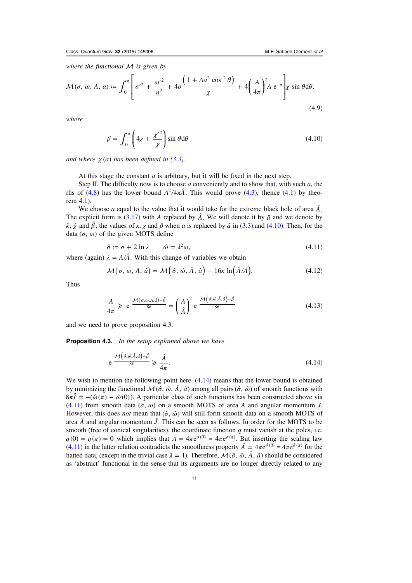<span id="page-11-0"></span>where the functional  $M$  is given by

$$
\mathcal{M}(\sigma, \omega, A, a) \coloneqq \int_0^{\pi} \left[ \sigma'^2 + \frac{\omega'^2}{\eta^2} + 4\sigma \frac{\left(1 + A a^2 \cos^2 \theta\right)}{\chi} + 4 \left(\frac{A}{4\pi}\right)^2 A e^{-\sigma} \right] \chi \sin \theta d\theta,\tag{4.9}
$$

where

$$
\beta = \int_0^{\pi} \left( 4\chi + \frac{\chi^2}{\chi} \right) \sin \theta \, d\theta \tag{4.10}
$$

and where  $\chi(a)$  has been defined in  $(3.3)$  $(3.3)$  $(3.3)$ .

At this stage the constant  $a$  is arbitrary, but it will be fixed in the next step.

Step II. The difficulty now is to choose  $a$  conveniently and to show that, with such  $a$ , the rhs of ([4.8](#page-10-0)) has the lower bound  $A^2/4\pi\hat{A}$ . This would prove ([4.3](#page-9-0)), (hence ([4.1](#page-9-0)) by theorem [4.1\)](#page-9-0).

We choose a equal to the value that it would take for the extreme black hole of area  $\hat{A}$ . The explicit form is [\(3.17\)](#page-8-0) with A replaced by  $\hat{A}$ . We will denote it by  $\hat{a}$  and we denote by  $\hat{\kappa}$ ,  $\hat{\gamma}$  and  $\hat{\beta}$ , the values of  $\kappa$ ,  $\gamma$  and  $\beta$  when a is replaced by  $\hat{a}$  in [\(3.3\)](#page-6-0),and (4.10). Then, for the data  $(\sigma, \omega)$  of the given MOTS define

$$
\hat{\sigma} \coloneqq \sigma + 2 \ln \lambda \qquad \hat{\omega} = \lambda^2 \omega,\tag{4.11}
$$

where (again)  $\lambda = A/\hat{A}$ . With this change of variables we obtain

$$
\mathcal{M}(\sigma, \omega, A, \hat{a}) = \mathcal{M}\left(\hat{\sigma}, \hat{\omega}, \hat{A}, \hat{a}\right) - 16\kappa \ln\left(\hat{A}/A\right). \tag{4.12}
$$

Thus

$$
\frac{A}{4\pi} \geqslant e^{\frac{\mathcal{M}(\sigma,\omega,A,\hat{a})-\hat{\beta}}{8\hat{\kappa}}} = \left(\frac{A}{\hat{A}}\right)^2 e^{\frac{\mathcal{M}\left(\hat{\sigma},\hat{\omega},\hat{A},\hat{a}\right)-\hat{\beta}}{8\hat{\kappa}}}
$$
\n(4.13)

and we need to prove proposition 4.3.

**Proposition 4.3.** In the setup explained above we have

$$
e \frac{\mathcal{M}\left(\hat{\sigma}, \hat{\omega}, \hat{A}, \hat{a}\right) - \hat{\beta}}{8\hat{\kappa}} \geq \frac{\hat{A}}{4\pi}.
$$
\n(4.14)

We wish to mention the following point here.  $(4.14)$  means that the lower bound is obtained by minimizing the functional  $\mathcal{M}(\hat{\sigma}, \hat{\omega}, \hat{A}, \hat{a})$  among all pairs  $(\hat{\sigma}, \hat{\omega})$  of smooth functions with  $8\pi\hat{J} = -(\hat{\omega}(\pi) - \hat{\omega}(0))$ . A particular class of such functions has been constructed above via (4.11) from smooth data ( $\sigma$ ,  $\omega$ ) on a smooth MOTS of area A and angular momentum J. However, this does *not* mean that  $(∂, ∆)$  will still form smooth data on a smooth MOTS of area  $\hat{A}$  and angular momentum  $\hat{J}$ . This can be seen as follows. In order for the MOTS to be smooth (free of conical singularities), the coordinate function  $q$  must vanish at the poles, i.e.  $q(0) = q(\pi) = 0$  which implies that  $A = 4\pi e^{\sigma(0)} = 4\pi e^{\sigma(\pi)}$ . But inserting the scaling law (4.11) in the latter relation contradicts the smoothness property  $\hat{A} = 4\pi e^{\hat{\sigma}(0)} = 4\pi e^{\hat{\sigma}(\pi)}$  for the hatted data, (except in the trivial case  $\lambda = 1$ ). Therefore,  $\mathcal{M}(\hat{\sigma}, \hat{\omega}, \hat{A}, \hat{a})$  should be considered as 'abstract' functional in the sense that its arguments are no longer directly related to any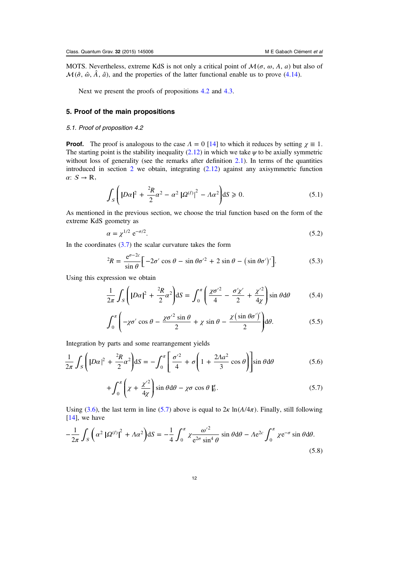<span id="page-12-0"></span>MOTS. Nevertheless, extreme KdS is not only a critical point of  $\mathcal{M}(\sigma, \omega, A, a)$  but also of  $\mathcal{M}(\hat{\sigma}, \hat{\omega}, \hat{A}, \hat{a})$ , and the properties of the latter functional enable us to prove [\(4.14\)](#page-11-0).

Next we present the proofs of propositions [4.2](#page-10-0) and [4.3](#page-11-0).

### 5. Proof of the main propositions

#### 5.1. Proof of proposition 4.2

**Proof.** The proof is analogous to the case  $\Lambda = 0$  [\[14](#page-23-0)] to which it reduces by setting  $\chi \equiv 1$ . The starting point is the stability inequality ([2.12](#page-5-0)) in which we take  $\psi$  to be axially symmetric without loss of generality (see the remarks after definition [2.1](#page-5-0)). In terms of the quantities introduced in section [2](#page-4-0) we obtain, integrating [\(2.12\)](#page-5-0) against any axisymmetric function  $\alpha$ :  $S \rightarrow \mathbb{R}$ ,

$$
\int_{S} \left( |D\alpha|^2 + \frac{^2R}{2}\alpha^2 - \alpha^2 | \Omega^{(\ell)} |^2 - \Lambda \alpha^2 \right) dS \ge 0. \tag{5.1}
$$

As mentioned in the previous section, we choose the trial function based on the form of the extreme KdS geometry as

$$
\alpha = \chi^{1/2} e^{-\sigma/2}.\tag{5.2}
$$

In the coordinates  $(3.7)$  $(3.7)$  the scalar curvature takes the form

$$
{}^{2}R = \frac{e^{\sigma - 2c}}{\sin \theta} \left[ -2\sigma' \cos \theta - \sin \theta \sigma'^{2} + 2 \sin \theta - (\sin \theta \sigma')' \right].
$$
 (5.3)

Using this expression we obtain

$$
\frac{1}{2\pi} \int_{S} \left( |D\alpha|^2 + \frac{^2R}{2}\alpha^2 \right) dS = \int_0^{\pi} \left( \frac{\chi \sigma'^2}{4} - \frac{\sigma' \chi'}{2} + \frac{\chi'^2}{4\chi} \right) \sin \theta d\theta \tag{5.4}
$$

$$
\int_0^{\pi} \left( -\chi \sigma' \cos \theta - \frac{\chi \sigma'^2 \sin \theta}{2} + \chi \sin \theta - \frac{\chi (\sin \theta \sigma')'}{2} \right) d\theta.
$$
 (5.5)

Integration by parts and some rearrangement yields

$$
\frac{1}{2\pi} \int_{S} \left( |D\alpha|^2 + \frac{^2R}{2}\alpha^2 \right) dS = -\int_0^{\pi} \left[ \frac{\sigma'^2}{4} + \sigma \left( 1 + \frac{2Aa^2}{3} \cos \theta \right) \right] \sin \theta d\theta \tag{5.6}
$$

$$
+\int_0^{\pi} \left(\chi + \frac{\chi^2}{4\chi}\right) \sin\theta \,d\theta - \chi\sigma\cos\theta \,|_0^{\pi}.\tag{5.7}
$$

Using ([3.6](#page-7-0)), the last term in line (5.7) above is equal to  $2\kappa$  ln( $A/4\pi$ ). Finally, still following [[14\]](#page-23-0), we have

$$
-\frac{1}{2\pi} \int_{S} \left( \alpha^{2} \left| \Omega^{(\ell)} \right|^{2} + \Lambda \alpha^{2} \right) dS = -\frac{1}{4} \int_{0}^{\pi} \chi \frac{\omega'^{2}}{e^{2\sigma} \sin^{4} \theta} \sin \theta d\theta - \Lambda e^{2c} \int_{0}^{\pi} \chi e^{-\sigma} \sin \theta d\theta.
$$
\n(5.8)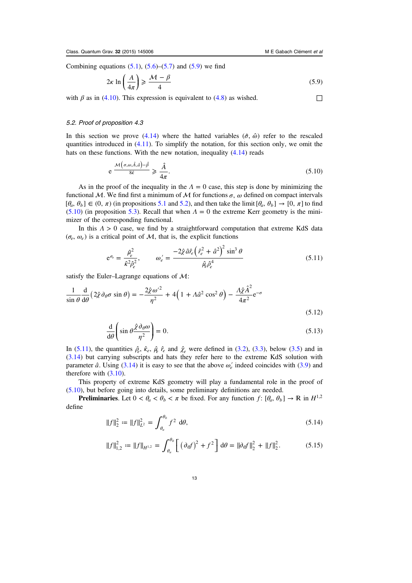<span id="page-13-0"></span>Combining equations  $(5.1)$  $(5.1)$  $(5.1)$ ,  $(5.6)$  $(5.6)$  $(5.6)$ – $(5.7)$  $(5.7)$  $(5.7)$  and  $(5.9)$  we find

$$
2\kappa \ln \left( \frac{A}{4\pi} \right) \geqslant \frac{\mathcal{M} - \beta}{4} \tag{5.9}
$$

with  $\beta$  as in ([4.10\)](#page-11-0). This expression is equivalent to ([4.8](#page-10-0)) as wished.  $\Box$ 

#### 5.2. Proof of proposition 4.3

In this section we prove  $(4.14)$  $(4.14)$  $(4.14)$  where the hatted variables  $(\hat{\sigma}, \hat{\omega})$  refer to the rescaled quantities introduced in  $(4.11)$  $(4.11)$  $(4.11)$ . To simplify the notation, for this section only, we omit the hats on these functions. With the new notation, inequality  $(4.14)$  $(4.14)$  $(4.14)$  reads

$$
e \frac{\mathcal{M}\left(\sigma,\omega,\hat{A},\hat{a}\right)-\hat{\beta}}{8\hat{\kappa}} \geq \frac{\hat{A}}{4\pi}.
$$
\n(5.10)

As in the proof of the inequality in the  $\Lambda = 0$  case, this step is done by minimizing the functional M. We find first a minimum of M for functions  $\sigma$ ,  $\omega$  defined on compact intervals  $[\theta_a, \theta_b] \in (0, \pi)$  (in propositions [5.1](#page-15-0) and [5.2](#page-15-0)), and then take the limit  $[\theta_a, \theta_b] \to [0, \pi]$  to find (5.10) (in proposition [5.3\)](#page-15-0). Recall that when  $\Lambda = 0$  the extreme Kerr geometry is the minimizer of the corresponding functional.

In this *Λ* > 0 case, we find by a straightforward computation that extreme KdS data  $(\sigma_e, \omega_e)$  is a critical point of M, that is, the explicit functions

$$
e^{\sigma_e} = \frac{\hat{\mu}_e^2}{\hat{\kappa}^2 \hat{\rho}_e^2}, \qquad \omega'_e = \frac{-2\hat{\chi}\,\hat{a}\hat{r}_e \left(\hat{r}_e^2 + \hat{a}^2\right)^2 \sin^3\theta}{\hat{\mu}_e \hat{\rho}_e^4}
$$
(5.11)

satisfy the Euler–Lagrange equations of  $\mathcal{M}$ :

$$
\frac{1}{\sin\theta} \frac{d}{d\theta} \left( 2\hat{\chi} \partial_{\theta} \sigma \sin\theta \right) = -\frac{2\hat{\chi}\omega'^2}{\eta^2} + 4\left( 1 + \Lambda \hat{a}^2 \cos^2\theta \right) - \frac{\Lambda \hat{\chi} \hat{A}^2}{4\pi^2} e^{-\sigma}
$$
\n(5.12)

$$
\frac{\mathrm{d}}{\mathrm{d}\theta} \left( \sin \theta \frac{\hat{\chi} \partial_{\theta} \omega}{\eta^2} \right) = 0. \tag{5.13}
$$

In (5.11), the quantities  $\hat{\rho}_e$ ,  $\hat{\kappa}_e$ ,  $\hat{\mu}_e$   $\hat{r}_e$  and  $\hat{\chi}_e$  were defined in [\(3.2\)](#page-6-0), [\(3.3\)](#page-6-0), below [\(3.5\)](#page-7-0) and in ([3.14](#page-8-0)) but carrying subscripts and hats they refer here to the extreme KdS solution with parameter  $\hat{a}$ . Using [\(3.14\)](#page-8-0) it is easy to see that the above  $\omega_e$  indeed coincides with [\(3.9\)](#page-7-0) and therefore with [\(3.10\)](#page-7-0).

This property of extreme KdS geometry will play a fundamental role in the proof of (5.10), but before going into details, some preliminary definitions are needed.

**Preliminaries.** Let  $0 < \theta_a < \theta_b < \pi$  be fixed. For any function  $f: [\theta_a, \theta_b] \to \mathbb{R}$  in  $H^{1,2}$ define

$$
||f||_2^2 := ||f||_{L^2}^2 = \int_{\theta_a}^{\theta_b} f^2 d\theta,
$$
\n(5.14)

$$
||f||_{1,2}^2 := ||f||_{H^{1,2}} = \int_{\theta_a}^{\theta_b} \left[ \left( \partial_a f \right)^2 + f^2 \right] d\theta = ||\partial_a f||_2^2 + ||f||_2^2. \tag{5.15}
$$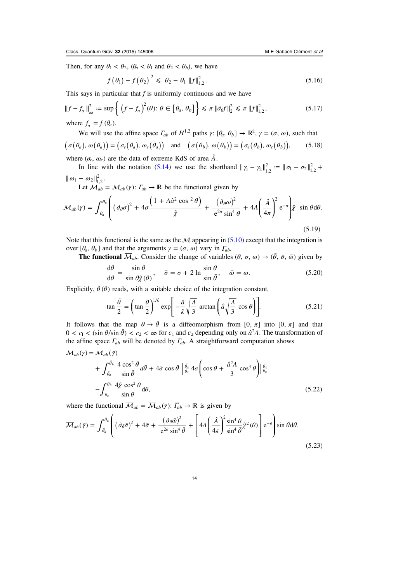<span id="page-14-0"></span>Then, for any  $\theta_1 < \theta_2$ ,  $(\theta_a < \theta_1$  and  $\theta_2 < \theta_b)$ , we have

$$
|f(\theta_1) - f(\theta_2)|^2 \le |\theta_2 - \theta_1| \|f\|_{1,2}^2.
$$
 (5.16)

This says in particular that  $f$  is uniformly continuous and we have

$$
||f - fa||2\infty := \sup \left\{ (f - fa)2(\theta): \theta \in [\thetaa, \thetab] \right\} \le \pi ||\partial_{\theta}f||_{2}^{2} \le \pi ||f||_{1,2}^{2},
$$
\n(5.17)  
\nwhere  $fa = f(\thetaa)$ .

We will use the affine space  $\Gamma_{ab}$  of  $H^{1,2}$  paths  $\gamma: [\theta_a, \theta_b] \to \mathbb{R}^2$ ,  $\gamma = (\sigma, \omega)$ , such that  $(\sigma(\theta_a), \omega(\theta_a)) = (\sigma_e(\theta_a), \omega_e(\theta_a))$  and  $(\sigma(\theta_b), \omega(\theta_b)) = (\sigma_e(\theta_b), \omega_e(\theta_b)),$  (5.18)

where  $(\sigma_e, \omega_e)$  are the data of extreme KdS of area  $\hat{A}$ .

In line with the notation [\(5.14\)](#page-13-0) we use the shorthand  $||\gamma_1 - \gamma_2||_{1,2}^2 := ||\sigma_1 - \sigma_2||_{1,2}^2 +$  $\|\omega_1 - \omega_2\|_{1,2}^2$ .

Let  $M_{ab} = M_{ab}(\gamma)$ :  $\Gamma_{ab} \to \mathbb{R}$  be the functional given by

$$
\mathcal{M}_{ab}(\gamma) = \int_{\theta_a}^{\theta_b} \left( (\partial_{\theta} \sigma)^2 + 4\sigma \frac{\left(1 + \Lambda \hat{a}^2 \cos^2 \theta\right)}{\hat{\chi}} + \frac{(\partial_{\theta} \omega)^2}{e^{2\sigma} \sin^4 \theta} + 4\Lambda \left(\frac{\hat{A}}{4\pi}\right)^2 e^{-\sigma} \right) \hat{\chi} \sin \theta d\theta.
$$

(5.19)

Note that this functional is the same as the  $\mathcal M$  appearing in [\(5.10\)](#page-13-0) except that the integration is over  $[θ<sub>a</sub>, θ<sub>b</sub>]$  and that the arguments  $γ = (σ, ω)$  vary in  $Γ<sub>ab</sub>$ .

**The functional**  $\overline{\mathcal{M}}_{ab}$ . Consider the change of variables  $(\theta, \sigma, \omega) \rightarrow (\bar{\theta}, \bar{\sigma}, \bar{\omega})$  given by

$$
\frac{d\bar{\theta}}{d\theta} = \frac{\sin\bar{\theta}}{\sin\theta \hat{\chi}(\theta)}, \quad \bar{\sigma} = \sigma + 2 \ln \frac{\sin\theta}{\sin\bar{\theta}}, \quad \bar{\omega} = \omega.
$$
 (5.20)

Explicitly,  $\bar{\theta}(\theta)$  reads, with a suitable choice of the integration constant,

$$
\tan\frac{\bar{\theta}}{2} = \left(\tan\frac{\theta}{2}\right)^{1/\hat{\kappa}} \exp\left[-\frac{\hat{a}}{\hat{\kappa}}\sqrt{\frac{A}{3}}\arctan\left(\hat{a}\sqrt{\frac{A}{3}}\cos\theta\right)\right].
$$
 (5.21)

It follows that the map  $\theta \to \bar{\theta}$  is a diffeomorphism from [0,  $\pi$ ] into [0,  $\pi$ ] and that  $0 < c_1 < (\sin \theta / \sin \bar{\theta}) < c_2 < \infty$  for  $c_1$  and  $c_2$  depending only on  $\hat{a}^2/1$ . The transformation of the affine space  $\Gamma_{ab}$  will be denoted by  $\overline{\Gamma}_{ab}$ . A straightforward computation shows

$$
\mathcal{M}_{ab}(\gamma) = \overline{\mathcal{M}}_{ab}(\bar{\gamma})
$$
  
+  $\int_{\bar{\theta}_a}^{\bar{\theta}_b} \frac{4 \cos^2 \bar{\theta}}{\sin \bar{\theta}} d\bar{\theta} + 4\bar{\sigma} \cos \bar{\theta} \left| \frac{\bar{\theta}_b}{\bar{\theta}_a} 4\sigma \left( \cos \theta + \frac{\hat{a}^2 \Lambda}{3} \cos^3 \theta \right) \right|_{\theta_a}^{\theta_b}$   
-  $\int_{\theta_a}^{\theta_b} \frac{4\hat{\chi} \cos^2 \theta}{\sin \theta} d\theta,$  (5.22)

where the functional  $\overline{\mathcal{M}}_{ab} = \overline{\mathcal{M}}_{ab}(\overline{\gamma})$ :  $\overline{\Gamma}_{ab} \rightarrow \mathbb{R}$  is given by

$$
\overline{\mathcal{M}}_{ab}(\bar{r}) = \int_{\bar{\theta}_a}^{\bar{\theta}_b} \left( (\partial_{\bar{\theta}} \bar{\sigma})^2 + 4\bar{\sigma} + \frac{(\partial_{\theta} \bar{\omega})^2}{e^{2\bar{\sigma}} \sin^4 \bar{\theta}} + \left[ 4A \left( \frac{\hat{A}}{4\pi} \right)^2 \frac{\sin^4 \theta}{\sin^4 \bar{\theta}} \hat{\chi}^2(\theta) \right] e^{-\bar{\sigma}} \right) \sin \bar{\theta} d\bar{\theta}.
$$
\n(5.23)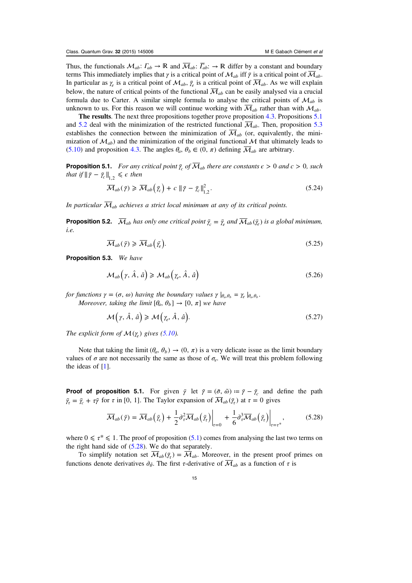<span id="page-15-0"></span>Thus, the functionals  $\mathcal{M}_{ab}$ :  $\Gamma_{ab} \to \mathbb{R}$  and  $\overline{\mathcal{M}}_{ab}$ :  $\overline{\Gamma}_{ab}$ :  $\to \mathbb{R}$  differ by a constant and boundary terms This immediately implies that  $\gamma$  is a critical point of  $\mathcal{M}_{ab}$  iff  $\bar{\gamma}$  is a critical point of  $\overline{\mathcal{M}}_{ab}$ . In particular as  $\gamma_e$  is a critical point of  $\mathcal{M}_{ab}$ ,  $\bar{\gamma}_e$  is a critical point of  $\overline{\mathcal{M}}_{ab}$ . As we will explain below, the nature of critical points of the functional  $\overline{\mathcal{M}}_{ab}$  can be easily analysed via a crucial formula due to Carter. A similar simple formula to analyse the critical points of  $\mathcal{M}_{ab}$  is unknown to us. For this reason we will continue working with  $\overline{\mathcal{M}}_{ab}$  rather than with  $\mathcal{M}_{ab}$ .

The results. The next three propositions together prove proposition [4.3.](#page-11-0) Propositions 5.1 and 5.2 deal with the minimization of the restricted functional  $\overline{\mathcal{M}}_{ab}$ . Then, proposition 5.3 establishes the connection between the minimization of  $\overline{\mathcal{M}}_{ab}$  (or, equivalently, the minimization of  $\mathcal{M}_{ab}$ ) and the minimization of the original functional M that ultimately leads to ([5.10](#page-13-0)) and proposition [4.3](#page-11-0). The angles  $\theta_a$ ,  $\theta_b \in (0, \pi)$  defining  $\overline{\mathcal{M}}_{ab}$  are arbitrary.

**Proposition 5.1.** For any critical point  $\bar{\gamma}_c$  of  $\overline{\mathcal{M}}_{ab}$  there are constants  $\epsilon > 0$  and  $c > 0$ , such that if  $\|\bar{y} - \bar{y}_c\|_{1,2} \leq \epsilon$  then

$$
\overline{\mathcal{M}}_{ab}(\bar{\gamma}) \geqslant \overline{\mathcal{M}}_{ab}\left(\bar{\gamma}_c\right) + c \left\|\bar{\gamma} - \bar{\gamma}_c\right\|_{1,2}^2. \tag{5.24}
$$

In particular  $\overline{\mathcal{M}}_{ab}$  achieves a strict local minimum at any of its critical points.

**Proposition 5.2.**  $\overline{\mathcal{M}}_{ab}$  has only one critical point  $\overline{\gamma}_c = \overline{\gamma}_e$  and  $\overline{\mathcal{M}}_{ab}(\overline{\gamma}_e)$  is a global minimum, i.e.

$$
\overline{\mathcal{M}}_{ab}(\bar{\gamma}) \geqslant \overline{\mathcal{M}}_{ab}(\bar{\gamma_e}).\tag{5.25}
$$

Proposition 5.3. We have

$$
\mathcal{M}_{ab}\big(\gamma,\,\hat{A},\,\hat{a}\big) \geq \mathcal{M}_{ab}\big(\gamma_e,\,\hat{A},\,\hat{a}\big) \tag{5.26}
$$

*for functions*  $\gamma = (\sigma, \omega)$  *having the boundary values*  $\gamma \mid_{\theta_{\alpha}, \theta_b} = \gamma_e \mid_{\theta_{\alpha}, \theta_b}$ .

Moreover, taking the limit  $[\theta_a, \theta_b] \rightarrow [0, \pi]$  we have

$$
\mathcal{M}\left(\gamma,\hat{A},\,\hat{a}\right) \geqslant \mathcal{M}\left(\gamma_e,\hat{A},\,\hat{a}\right). \tag{5.27}
$$

The explicit form of  $\mathcal{M}(\gamma_e)$  gives [\(5.10\)](#page-13-0).

Note that taking the limit  $(\theta_a, \theta_b) \rightarrow (0, \pi)$  is a very delicate issue as the limit boundary values of  $\sigma$  are not necessarily the same as those of  $\sigma_e$ . We will treat this problem following the ideas of [\[1](#page-22-0)].

**Proof of proposition 5.1.** For given  $\bar{y}$  let  $\tilde{\gamma} = (\tilde{\sigma}, \tilde{\omega}) := \bar{y} - \bar{y}$  and define the path  $\bar{\gamma}_{\tau} = \bar{\gamma}_{c} + \tau \tilde{\gamma}$  for  $\tau$  in [0, 1]. The Taylor expansion of  $\overline{\mathcal{M}}_{ab}(\bar{\gamma}_{\tau})$  at  $\tau = 0$  gives

$$
\overline{\mathcal{M}}_{ab}(\bar{\gamma}) = \overline{\mathcal{M}}_{ab}(\bar{\gamma}_c) + \frac{1}{2} \partial_{\tau}^2 \overline{\mathcal{M}}_{ab}(\bar{\gamma}_r) \Big|_{\tau=0} + \frac{1}{6} \partial_{\tau}^3 \overline{\mathcal{M}}_{ab}(\bar{\gamma}_r) \Big|_{\tau=\tau^*},\tag{5.28}
$$

where  $0 \le \tau^* \le 1$ . The proof of proposition (5.1) comes from analysing the last two terms on the right hand side of (5.28). We do that separately.

To simplify notation set  $\overline{M}_{ab}(\overline{\gamma}_{\tau}) = \overline{M}_{ab}$ . Moreover, in the present proof primes on functions denote derivatives  $\partial_{\bar{\theta}}$ . The first τ-derivative of  $\overline{\mathcal{M}}_{ab}$  as a function of τ is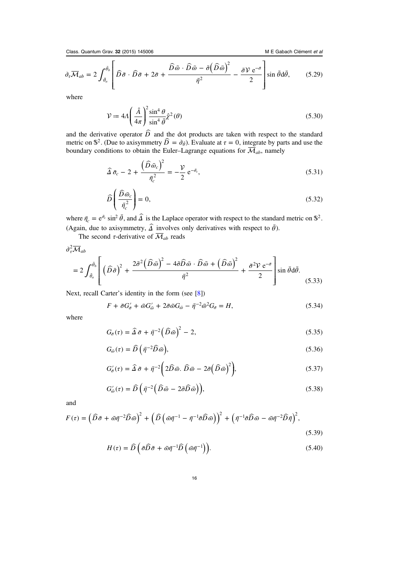<span id="page-16-0"></span>Class. Quantum Grav. 32 (2015) 145006 M E Gabach Clément et al.

$$
\partial_{\tau}\overline{\mathcal{M}}_{ab} = 2 \int_{\bar{\theta}_a}^{\bar{\theta}_b} \left[ \widehat{D}\,\widetilde{\sigma} \cdot \widehat{D}\,\widetilde{\sigma} + 2\bar{\sigma} + \frac{\widehat{D}\,\widetilde{\omega} \cdot \widehat{D}\,\widetilde{\omega} - \widetilde{\sigma}\left(\widehat{D}\,\widetilde{\omega}\right)^2}{\bar{\eta}^2} - \frac{\widetilde{\sigma}\mathcal{V}\,\mathrm{e}^{-\bar{\sigma}}}{2} \right] \sin\bar{\theta}\mathrm{d}\bar{\theta},\qquad(5.29)
$$

where

$$
\mathcal{V} \coloneqq 4A \left( \frac{\hat{A}}{4\pi} \right)^2 \frac{\sin^4 \theta}{\sin^4 \bar{\theta}} \hat{\chi}^2(\theta) \tag{5.30}
$$

and the derivative operator  $\widehat{D}$  and the dot products are taken with respect to the standard metric on  $\mathbb{S}^2$ . (Due to axisymmetry  $\widehat{D} = \partial_{\bar{\theta}}$ ). Evaluate at  $\tau = 0$ , integrate by parts and use the boundary conditions to obtain the Euler–Lagrange equations for  $\overline{\mathcal{M}}_{ab}$ , namely

$$
\widehat{\Delta}\,\bar{\sigma}_c - 2 + \frac{\left(\widehat{D}\,\bar{\omega}_c\right)^2}{\bar{\eta}_c^2} = -\frac{\mathcal{V}}{2}\,\mathrm{e}^{-\bar{\sigma}_c},\tag{5.31}
$$

$$
\widehat{D}\left(\frac{\widehat{D}\,\bar{\omega}_c}{\bar{\eta}_c^2}\right) = 0,\tag{5.32}
$$

where  $\bar{\eta}_c = e^{\bar{\sigma}_c} \sin^2 \bar{\theta}$ , and  $\hat{\Delta}$  is the Laplace operator with respect to the standard metric on  $\mathbb{S}^2$ . (Again, due to axisymmetry,  $\hat{\Delta}$  involves only derivatives with respect to  $\bar{\theta}$ ).

The second  $\tau$ -derivative of  $\overline{\mathcal{M}}_{ab}$  reads

$$
\frac{\partial_{\tau}^{2} \overline{\mathcal{M}}_{ab}}{=} 2 \int_{\tilde{\theta}_{a}}^{\tilde{\theta}_{b}} \left[ \left( \widehat{D} \tilde{\sigma} \right)^{2} + \frac{2 \tilde{\sigma}^{2} \left( \widehat{D} \tilde{\omega} \right)^{2} - 4 \tilde{\sigma} \widehat{D} \tilde{\omega} \cdot \widehat{D} \tilde{\omega} + \left( \widehat{D} \tilde{\omega} \right)^{2}}{\bar{\eta}^{2}} + \frac{\tilde{\sigma}^{2} \mathcal{V} e^{-\bar{\sigma}}}{2} \right] \sin \bar{\theta} d\bar{\theta}.
$$
\n(5.33)

Next, recall Carter's identity in the form (see [\[8](#page-22-0)])

$$
F + \tilde{\sigma} G_{\bar{\sigma}}' + \tilde{\omega} G_{\bar{\omega}}' + 2 \tilde{\sigma} \tilde{\omega} G_{\bar{\omega}} - \bar{\eta}^{-2} \tilde{\omega}^2 G_{\bar{\sigma}} = H,
$$
\n
$$
(5.34)
$$

where

$$
G_{\bar{\sigma}}(\tau) = \hat{\Delta}\,\bar{\sigma} + \bar{\eta}^{-2} \left(\widehat{D}\,\bar{\omega}\right)^2 - 2,\tag{5.35}
$$

$$
G_{\bar{\omega}}(\tau) = \widehat{D}\left(\bar{\eta}^{-2}\widehat{D}\,\bar{\omega}\right),\tag{5.36}
$$

$$
G'_{\tilde{\sigma}}(\tau) = \hat{\Delta}\,\tilde{\sigma} + \bar{\eta}^{-2} \bigg( 2\hat{D}\,\tilde{\omega}.\,\hat{D}\,\tilde{\omega} - 2\tilde{\sigma}\bigg(\hat{D}\,\tilde{\omega}\bigg)^2 \bigg),\tag{5.37}
$$

$$
G'_{\tilde{\omega}}(\tau) = \widehat{D}\left(\bar{\eta}^{-2}\left(\widehat{D}\tilde{\omega} - 2\tilde{\sigma}\widehat{D}\bar{\omega}\right)\right),\tag{5.38}
$$

and

$$
F(\tau) = \left(\widehat{D}\tilde{\sigma} + \tilde{\omega}\bar{\eta}^{-2}\widehat{D}\tilde{\omega}\right)^2 + \left(\widehat{D}\left(\tilde{\omega}\bar{\eta}^{-1} - \bar{\eta}^{-1}\tilde{\sigma}\widehat{D}\tilde{\omega}\right)\right)^2 + \left(\bar{\eta}^{-1}\tilde{\sigma}\widehat{D}\tilde{\omega} - \tilde{\omega}\bar{\eta}^{-2}\widehat{D}\bar{\eta}\right)^2, \tag{5.39}
$$

$$
H(\tau) = \widehat{D}\left(\tilde{\sigma}\widehat{D}\tilde{\sigma} + \tilde{\omega}\bar{\eta}^{-1}\widehat{D}\left(\tilde{\omega}\bar{\eta}^{-1}\right)\right).
$$
 (5.40)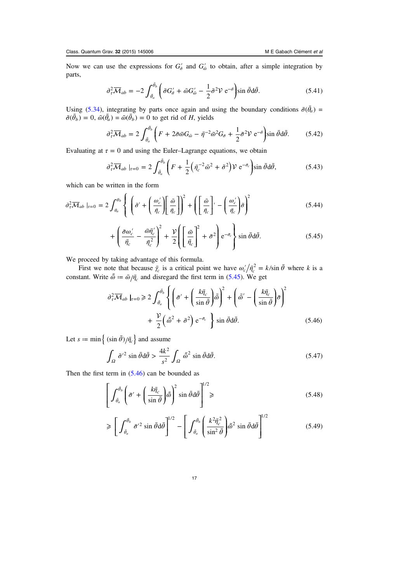<span id="page-17-0"></span>Now we can use the expressions for  $G'_{\bar{\sigma}}$  and  $G'_{\bar{\omega}}$  to obtain, after a simple integration by parts,

$$
\partial_{\tau}^{2} \overline{\mathcal{M}}_{ab} = -2 \int_{\bar{\theta}_{a}}^{\bar{\theta}_{b}} \left( \tilde{\sigma} G_{\bar{\sigma}}' + \tilde{\omega} G_{\bar{\omega}}' - \frac{1}{2} \tilde{\sigma}^{2} \mathcal{V} e^{-\bar{\sigma}} \right) \sin \bar{\theta} d\bar{\theta}.
$$
 (5.41)

Using ([5.34](#page-16-0)), integrating by parts once again and using the boundary conditions  $\tilde{\sigma}(\bar{\theta}_a)$  =  $\tilde{\sigma}(\bar{\theta}_b) = 0$ ,  $\tilde{\omega}(\bar{\theta}_a) = \tilde{\omega}(\bar{\theta}_b) = 0$  to get rid of *H*, yields

$$
\partial_{\tau}^{2} \overline{\mathcal{M}}_{ab} = 2 \int_{\bar{\theta}_{a}}^{\bar{\theta}_{b}} \left( F + 2 \tilde{\sigma} \tilde{\omega} G_{\bar{\omega}} - \bar{\eta}^{-2} \tilde{\omega}^{2} G_{\bar{\sigma}} + \frac{1}{2} \tilde{\sigma}^{2} \mathcal{V} e^{-\bar{\sigma}} \right) \sin \bar{\theta} d\bar{\theta}.
$$
 (5.42)

Evaluating at  $\tau = 0$  and using the Euler–Lagrange equations, we obtain

$$
\partial_{\tau}^{2} \overline{\mathcal{M}}_{ab} \mid_{\tau=0} = 2 \int_{\bar{\theta}_{a}}^{\bar{\theta}_{b}} \left( F + \frac{1}{2} \left( \bar{\eta}_{c}^{-2} \tilde{\omega}^{2} + \tilde{\sigma}^{2} \right) \mathcal{V} e^{-\bar{\sigma}_{c}} \right) \sin \bar{\theta} d\bar{\theta}, \tag{5.43}
$$

which can be written in the form

$$
\partial_{\tau}^{2} \overline{\mathcal{M}}_{ab} \mid_{\tau=0} = 2 \int_{\theta_{a}}^{\theta_{b}} \left\{ \left( \tilde{\sigma}^{\prime} + \left( \frac{\omega_{c}^{\prime}}{\bar{\eta}_{c}} \right) \left[ \frac{\tilde{\omega}}{\bar{\eta}_{c}} \right] \right)^{2} + \left( \left[ \frac{\tilde{\omega}}{\bar{\eta}_{c}} \right]^{\prime} - \left( \frac{\omega_{c}^{\prime}}{\bar{\eta}_{c}} \right) \tilde{\sigma} \right)^{2} \right\}
$$
(5.44)

$$
+\left(\frac{\tilde{\sigma}\omega_c'}{\bar{\eta}_c} - \frac{\tilde{\omega}\bar{\eta}_c'}{\bar{\eta}_c^2}\right)^2 + \frac{\mathcal{V}}{2}\left(\left[\frac{\tilde{\omega}}{\bar{\eta}_c}\right]^2 + \tilde{\sigma}^2\right)e^{-\bar{\sigma}_c}\right\}\sin\bar{\theta}\,d\bar{\theta}.
$$
 (5.45)

We proceed by taking advantage of this formula.

First we note that because  $\bar{\gamma}_c$  is a critical point we have  $\omega'_c/\bar{\eta}_c^2 = k/\sin \bar{\theta}$  where k is a constant. Write  $\tilde{\omega} = \tilde{\omega}/\bar{\eta}_c$  and disregard the first term in (5.45). We get

$$
\partial_{\tau}^{2} \overline{\mathcal{M}}_{ab} \mid_{\tau=0} \geq 2 \int_{\bar{\theta}_{a}}^{\bar{\theta}_{b}} \left\{ \left( \tilde{\sigma}^{\prime} + \left( \frac{k \bar{\eta}_{c}}{\sin \bar{\theta}} \right) \tilde{\tilde{\omega}} \right)^{2} + \left( \tilde{\tilde{\omega}}^{\prime} - \left( \frac{k \bar{\eta}_{c}}{\sin \bar{\theta}} \right) \tilde{\sigma} \right)^{2} \right. \right. \\
\left. + \frac{\mathcal{V}}{2} \left( \tilde{\tilde{\omega}}^{2} + \tilde{\sigma}^{2} \right) e^{-\bar{\sigma}_{c}} \right\} \sin \bar{\theta} d\bar{\theta}.
$$
\n(5.46)

Let  $s := \min \left\{ \frac{\sin \bar{\theta}}{\bar{\eta}_c} \right\}$  and assume

$$
\int_{\Omega} \tilde{\sigma}^{\prime 2} \sin \bar{\theta} d\bar{\theta} > \frac{4k^2}{s^2} \int_{\Omega} \tilde{\omega}^2 \sin \bar{\theta} d\bar{\theta}.
$$
 (5.47)

Then the first term in  $(5.46)$  can be bounded as

$$
\left[ \int_{\bar{\theta}_a}^{\bar{\theta}_b} \left( \tilde{\sigma}' + \left( \frac{k \bar{\eta}_c}{\sin \bar{\theta}} \right) \tilde{\tilde{\omega}} \right)^2 \sin \bar{\theta} d\bar{\theta} \right]^{1/2} \geqslant (5.48)
$$

$$
\geqslant \left[ \int_{\bar{\theta}_a}^{\bar{\theta}_b} \tilde{\sigma}'^2 \sin \bar{\theta} d\bar{\theta} \right]^{1/2} - \left[ \int_{\bar{\theta}_a}^{\bar{\theta}_b} \left( \frac{k^2 \bar{\eta}_c^2}{\sin^2 \bar{\theta}} \right) \tilde{\tilde{\omega}}^2 \sin \bar{\theta} d\bar{\theta} \right]^{1/2} \tag{5.49}
$$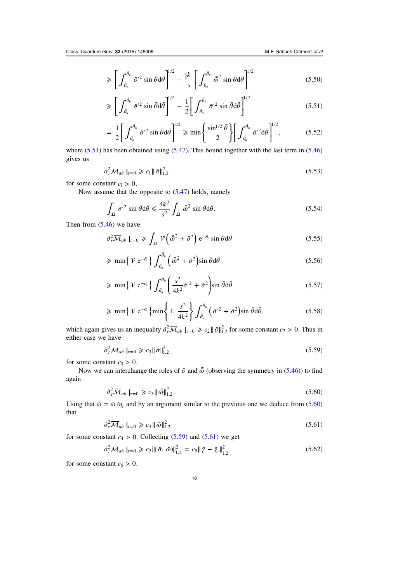$$
\geqslant \left[ \int_{\bar{\theta}_a}^{\bar{\theta}_b} \tilde{\sigma}'^2 \sin \bar{\theta} d\bar{\theta} \right]^{1/2} - \frac{|k|}{s} \left[ \int_{\bar{\theta}_a}^{\bar{\theta}_b} \tilde{\omega}^2 \sin \bar{\theta} d\bar{\theta} \right]^{1/2} \tag{5.50}
$$

$$
\geqslant \left[ \int_{\bar{\theta}_a}^{\bar{\theta}_b} \tilde{\sigma}^{\prime 2} \sin \bar{\theta} d\bar{\theta} \right]^{1/2} - \frac{1}{2} \left[ \int_{\bar{\theta}_a}^{\bar{\theta}_b} \tilde{\sigma}^{\prime 2} \sin \bar{\theta} d\bar{\theta} \right]^{1/2} \tag{5.51}
$$

$$
= \frac{1}{2} \bigg[ \int_{\bar{\theta}_a}^{\bar{\theta}_b} \tilde{\sigma}'^2 \sin \bar{\theta} d\bar{\theta} \bigg]^{1/2} \ge \min \bigg\{ \frac{\sin^{1/2} \bar{\theta}}{2} \bigg\} \bigg[ \int_{\bar{\theta}_a}^{\bar{\theta}_b} \tilde{\sigma}'^2 d\bar{\theta} \bigg]^{1/2}, \tag{5.52}
$$

where  $(5.51)$  has been obtained using  $(5.47)$  $(5.47)$  $(5.47)$ . This bound together with the last term in  $(5.46)$  $(5.46)$  $(5.46)$ gives us

$$
\partial_{\tau}^2 \overline{\mathcal{M}}_{ab} \mid_{\tau=0} \geqslant c_1 \|\tilde{\sigma}\|_{1,2}^2 \tag{5.53}
$$

for some constant  $c_1 > 0$ .

Now assume that the opposite to  $(5.47)$  $(5.47)$  holds, namely

$$
\int_{\Omega} \tilde{\sigma}^{\prime 2} \sin \bar{\theta} d\bar{\theta} \leq \frac{4k^2}{s^2} \int_{\Omega} \tilde{\omega}^2 \sin \bar{\theta} d\bar{\theta}.
$$
\n(5.54)

Then from  $(5.46)$  $(5.46)$  $(5.46)$  we have

$$
\partial_{\tau}^{2} \overline{\mathcal{M}}_{ab} \mid_{\tau=0} \geqslant \int_{\Omega} \mathcal{V} \left( \tilde{\omega}^{2} + \tilde{\sigma}^{2} \right) e^{-\tilde{\sigma}_{c}} \sin \bar{\theta} d\bar{\theta}
$$
\n
$$
(5.55)
$$

$$
\geqslant \min \left\{ \mathcal{V} e^{-\bar{\sigma}_c} \right\} \int_{\bar{\theta}_a}^{\bar{\theta}_b} \left( \tilde{\omega}^2 + \tilde{\sigma}^2 \right) \sin \bar{\theta} d\bar{\theta} \tag{5.56}
$$

$$
\geqslant \min\left\{\,\mathcal{V}\,\mathrm{e}^{-\bar{\sigma}_c}\right\}\int_{\bar{\theta}_a}^{\bar{\theta}_b} \left(\frac{s^2}{4k^2}\tilde{\sigma}^{\prime 2} + \tilde{\sigma}^2\right) \sin\bar{\theta}\,\mathrm{d}\bar{\theta}\tag{5.57}
$$

$$
\geqslant \min\left\{\,\mathcal{V}\,\mathrm{e}^{-\bar{\sigma}_c}\right\}\min\left\{1,\,\frac{s^2}{4k^2}\right\}\int_{\bar{\theta}_a}^{\bar{\theta}_b}\left(\tilde{\sigma}'^2+\tilde{\sigma}^2\right)\sin\bar{\theta}\mathrm{d}\bar{\theta}\tag{5.58}
$$

which again gives us an inequality  $\partial_{\tau}^2 \overline{\mathcal{M}}_{ab} |_{\tau=0} \geq c_2 ||\tilde{\sigma}||_{1,2}^2$  for some constant  $c_2 > 0$ . Thus in either case we have

$$
\partial_{\tau}^{2} \overline{\mathcal{M}}_{ab} \mid_{\tau=0} \geqslant c_{3} \|\tilde{\sigma}\|_{1,2}^{2}
$$
\n
$$
(5.59)
$$

for some constant  $c_3 > 0$ .

Now we can interchange the roles of  $\tilde{\sigma}$  and  $\tilde{\omega}$  (observing the symmetry in ([5.46](#page-17-0))) to find again

$$
\partial_{\tau}^{2} \overline{\mathcal{M}}_{ab} \mid_{\tau=0} \geqslant c_{3} \|\tilde{\omega}\|_{1,2}^{2}.
$$
\n
$$
(5.60)
$$

Using that  $\tilde{\omega} = \tilde{\omega}/\eta_c$  and by an argument similar to the previous one we deduce from (5.60) that

$$
\partial_{\tau}^2 \overline{\mathcal{M}}_{ab} \mid_{\tau=0} \geqslant c_4 \|\tilde{\omega}\|_{1,2}^2 \tag{5.61}
$$

for some constant  $c_4 > 0$ . Collecting (5.59) and (5.61) we get

$$
\partial_{\tau}^{2} \overline{\mathcal{M}}_{ab} \mid_{\tau=0} \geq c_{5} \| (\tilde{\sigma}, \tilde{\omega}) \|_{1,2}^{2} = c_{5} \| \bar{\gamma} - \bar{\gamma}_{c} \|_{1,2}^{2}
$$
\n(5.62)

for some constant  $c_5 > 0$ .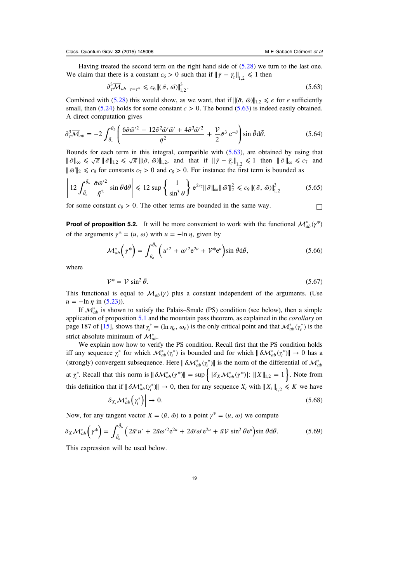<span id="page-19-0"></span>Having treated the second term on the right hand side of [\(5.28](#page-15-0)) we turn to the last one. We claim that there is a constant  $c_6 > 0$  such that if  $\|\bar{\gamma} - \bar{\gamma}_c\|_{1,2} \leq 1$  then

$$
\partial_{\tau}^3 \overline{\mathcal{M}}_{ab} \big|_{\tau = \tau^*} \leq c_6 \| (\tilde{\sigma}, \tilde{\omega}) \|_{1,2}^3. \tag{5.63}
$$

Combined with [\(5.28](#page-15-0)) this would show, as we want, that if  $\|(\tilde{\sigma}, \tilde{\omega})\|_{1,2} \leq \epsilon$  for  $\epsilon$  sufficiently small, then  $(5.24)$  $(5.24)$  $(5.24)$  holds for some constant  $c > 0$ . The bound  $(5.63)$  is indeed easily obtained. A direct computation gives

$$
\partial_{\tau}^{3} \overline{\mathcal{M}}_{ab} = -2 \int_{\bar{\theta}_{a}}^{\bar{\theta}_{b}} \left( \frac{6 \tilde{\sigma} \tilde{\omega}^{\prime 2} - 12 \tilde{\sigma}^{2} \tilde{\omega}^{\prime} \bar{\omega}^{\prime} + 4 \tilde{\sigma}^{3} \bar{\omega}^{\prime 2}}{\bar{\eta}^{2}} + \frac{\mathcal{V}}{2} \tilde{\sigma}^{3} e^{-\tilde{\sigma}} \right) \sin \bar{\theta} d\bar{\theta}.
$$
 (5.64)

Bounds for each term in this integral, compatible with  $(5.63)$ , are obtained by using that  $\|\tilde{\sigma}\|_{\infty} \leq \sqrt{\pi} \|\tilde{\sigma}\|_{1,2} \leq \sqrt{\pi} \|\tilde{\sigma}, \tilde{\omega}\|_{1,2}$ , and that if  $\|\tilde{\gamma} - \tilde{\gamma}_{c}\|_{1,2} \leq 1$  then  $\|\tilde{\sigma}\|_{\infty} \leq c_{7}$  and  $\|\bar{\omega}\|_2 \leq c_8$  for constants  $c_7 > 0$  and  $c_8 > 0$ . For instance the first term is bounded as

$$
\left| 12 \int_{\bar{\theta}_a}^{\bar{\theta}_b} \frac{\tilde{\sigma} \tilde{\omega}'^2}{\bar{\eta}^2} \sin \bar{\theta} d\bar{\theta} \right| \leq 12 \sup \left\{ \frac{1}{\sin^3 \theta} \right\} e^{2c_7} \|\tilde{\sigma}\|_{\infty} \|\tilde{\omega}\|_2^2 \leq c_9 \|(\tilde{\sigma}, \tilde{\omega})\|_{1,2}^3 \tag{5.65}
$$

for some constant  $c_9 > 0$ . The other terms are bounded in the same way.  $\Box$ 

**Proof of proposition 5.2.** It will be more convenient to work with the functional  $\mathcal{M}_{ab}^* (\gamma^*)$ of the arguments  $\gamma^* = (u, \omega)$  with  $u = -\ln \eta$ , given by

$$
\mathcal{M}_{ab}^*\left(\gamma^*\right) = \int_{\bar{\theta}_a}^{\bar{\theta}_b} \left(u'^2 + \omega'^2 e^{2u} + \mathcal{V}^* e^u\right) \sin \bar{\theta} d\bar{\theta},\tag{5.66}
$$

where

$$
\mathcal{V}^* = \mathcal{V} \sin^2 \bar{\theta}.\tag{5.67}
$$

This functional is equal to  $\mathcal{M}_{ab}(\gamma)$  plus a constant independent of the arguments. (Use  $u = -\ln \eta$  in ([5.23\)](#page-14-0)).

If  $\mathcal{M}_{ab}^*$  is shown to satisfy the Palais–Smale (PS) condition (see below), then a simple application of proposition [5.1](#page-15-0) and the mountain pass theorem, as explained in the *corollary* on page 187 of [[15\]](#page-23-0), shows that  $\gamma_e^* = (\ln \eta_e, \omega_e)$  is the only critical point and that  $\mathcal{M}_{ab}^*(\gamma_e^*)$  is the strict absolute minimum of  $\mathcal{M}_{ab}^*$ .

We explain now how to verify the PS condition. Recall first that the PS condition holds iff any sequence  $\gamma_i^*$  for which  $\mathcal{M}_{ab}^*(\gamma_i^*)$  is bounded and for which  $\|\delta \mathcal{M}_{ab}^*(\gamma_i^*)\| \to 0$  has a (strongly) convergent subsequence. Here  $\|\delta \mathcal{M}_{ab}^*(\gamma_i^*)\|$  is the norm of the differential of  $\mathcal{M}_{ab}^*$ at  $\gamma_i^*$ . Recall that this norm is  $\|\delta \mathcal{M}_{ab}^*(\gamma^*)\| = \sup \{ |\delta_X \mathcal{M}_{ab}^*(\gamma^*)| : \|X\|_{1,2} = 1 \}$ . Note from this definition that if  $\|\delta \mathcal{M}_{ab}^*(\gamma_i^*)\| \to 0$ , then for any sequence  $X_i$  with  $\|X_i\|_{1,2} \leq K$  we have

$$
\left| \delta_{X_i} \mathcal{M}_{ab}^* \right| \gamma_i^* \right| \to 0. \tag{5.68}
$$

Now, for any tangent vector  $X = (\tilde{u}, \tilde{\omega})$  to a point  $\gamma^* = (u, \omega)$  we compute

$$
\delta_X \mathcal{M}_{ab}^* \left( \gamma^* \right) = \int_{\bar{\theta}_a}^{\bar{\theta}_b} \left( 2 \tilde{u}' u' + 2 \tilde{u} \omega'^2 e^{2u} + 2 \tilde{\omega}' \omega' e^{2u} + \tilde{u} \mathcal{V} \sin^2 \bar{\theta} e^u \right) \sin \bar{\theta} d\bar{\theta}.
$$
 (5.69)

This expression will be used below.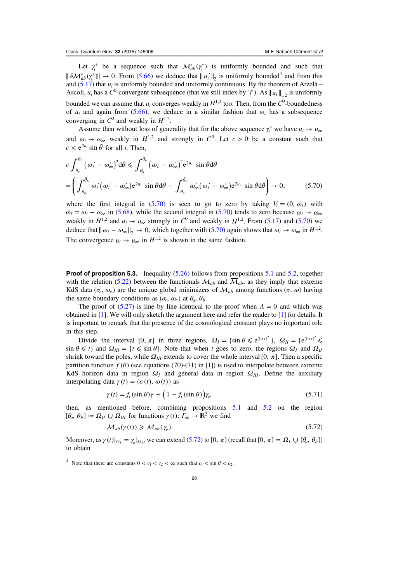<span id="page-20-0"></span>Let  $\gamma_i^*$  be a sequence such that  $\mathcal{M}_{ab}^*(\gamma_i^*)$  is uniformly bounded and such that  $\|\delta \mathcal{M}_{ab}^*(\gamma^*)\| \to 0$ . From [\(5.66\)](#page-19-0) we deduce that  $\|u_i'\|_2$  is uniformly bounded<sup>4</sup> and from this and ([5.17](#page-14-0)) that  $u_i$  is uniformly bounded and uniformly continuous. By the theorem of Arzelà – Ascoli,  $u_i$  has a  $C^0$ -convergent subsequence (that we still index by 'i'). As  $||u_i||_{1,2}$  is uniformly bounded we can assume that  $u_i$  converges weakly in  $H^{1,2}$  too. Then, from the  $C^0$ -boundedness of  $u_i$  and again from [\(5.66\)](#page-19-0), we deduce in a similar fashion that  $\omega_i$  has a subsequence converging in  $C^0$  and weakly in  $H^{1,2}$ .

Assume then without loss of generality that for the above sequence  $\gamma_i^*$  we have  $u_i \to u_\infty$ and  $\omega_i \rightarrow \omega_\infty$  weakly in  $H^{1,2}$  and strongly in  $C^0$ . Let  $c > 0$  be a constant such that  $c < e^{2u_i} \sin \bar{\theta}$  for all *i*. Then,

$$
c \int_{\bar{\theta}_a}^{\bar{\theta}_b} (\omega_i' - \omega_\infty')^2 d\bar{\theta} \le \int_{\bar{\theta}_a}^{\bar{\theta}_b} (\omega_i' - \omega_\infty')^2 e^{2u_i} \sin \bar{\theta} d\bar{\theta}
$$
  
= 
$$
\left( \int_{\bar{\theta}_a}^{\bar{\theta}_b} \omega_i' (\omega_i' - \omega_\infty') e^{2u_i} \sin \bar{\theta} d\bar{\theta} - \int_{\theta_a}^{\bar{\theta}_b} \omega_\infty' (\omega_i' - \omega_\infty') e^{2u_i} \sin \bar{\theta} d\bar{\theta} \right) \to 0,
$$
 (5.70)

where the first integral in (5.70) is seen to go to zero by taking  $V_i = (0, \tilde{\omega}_i)$  with  $\tilde{\omega}_i = \omega_i - \omega_\infty$  in [\(5.68\)](#page-19-0), while the second integral in (5.70) tends to zero because  $\omega_i \to \omega_\infty$ weakly in  $H^{1,2}$  and  $u_i \rightarrow u_\infty$  strongly in  $C^0$  and weakly in  $H^{1,2}$ . From ([5.17](#page-14-0)) and (5.70) we deduce that  $\|\omega_i - \omega_{\infty}\|_2 \to 0$ , which together with (5.70) again shows that  $\omega_i \to \omega_{\infty}$  in  $H^{1,2}$ . The convergence  $u_i \rightarrow u_\infty$  in  $H^{1,2}$  is shown in the same fashion.

**Proof of proposition 5.3.** Inequality  $(5.26)$  follows from propositions [5.1](#page-15-0) and [5.2,](#page-15-0) together with the relation ([5.22](#page-14-0)) between the functionals  $\mathcal{M}_{ab}$  and  $\overline{\mathcal{M}}_{ab}$ , as they imply that extreme KdS data ( $\sigma_e$ ,  $\omega_e$ ) are the unique global minimizers of  $\mathcal{M}_{ab}$  among functions ( $\sigma$ ,  $\omega$ ) having the same boundary conditions as  $(\sigma_e, \omega_e)$  at  $\theta_a, \theta_b$ .

The proof of  $(5.27)$  is line by line identical to the proof when  $\Lambda = 0$  and which was obtained in [\[1](#page-22-0)]. We will only sketch the argument here and refer the reader to [\[1](#page-22-0)] for details. It is important to remark that the presence of the cosmological constant plays no important role in this step.

Divide the interval  $[0, \pi]$  in three regions,  $\Omega_I = {\sin \theta \le e^{(\ln t)^2}}$ ,  $\Omega_{II} = {e^{(\ln t)^2}} \le$  $\sin \theta \le t$  and  $\Omega_{III} = \{t \le \sin \theta\}$ . Note that when t goes to zero, the regions  $\Omega_I$  and  $\Omega_{II}$ shrink toward the poles, while  $\Omega_{III}$  extends to cover the whole interval [0,  $\pi$ ]. Then a specific partition function  $f(\theta)$  (see equations (70)-(71) in [\[1](#page-22-0)]) is used to interpolate between extreme KdS horizon data in region  $\Omega$ <sup>*I*</sup> and general data in region  $\Omega$ <sub>*III*</sub>. Define the auxiliary interpolating data  $\gamma(t) = (\sigma(t), \omega(t))$  as

$$
\gamma(t) = f_t(\sin \theta)\gamma + \left(1 - f_t(\sin \theta)\right)\gamma_e, \tag{5.71}
$$

then, as mentioned before, combining propositions [5.1](#page-15-0) and [5.2](#page-15-0) on the region  $[\theta_a, \theta_b] \coloneqq \Omega_H \cup \Omega_{III}$  for functions  $\gamma(t) \colon \Gamma_{ab} \to \mathbb{R}^2$  we find

$$
\mathcal{M}_{ab}(\gamma(t)) \geq \mathcal{M}_{ab}(\gamma_e). \tag{5.72}
$$

Moreover, as  $\gamma(t)|_{\Omega_t} = \gamma_e|_{\Omega_t}$ , we can extend (5.72) to [0,  $\pi$ ] (recall that [0,  $\pi$ ] =  $\Omega_t \cup [\theta_a, \theta_b]$ ) to obtain

<sup>&</sup>lt;sup>4</sup> Note that there are constants  $0 < c_1 < c_2 < \infty$  such that  $c_1 < \sin \theta < c_2$ .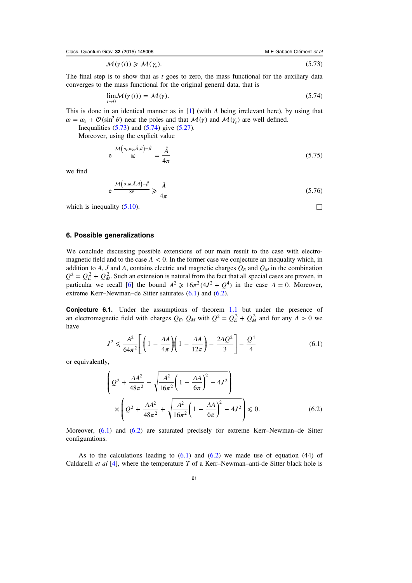$$
\mathcal{M}(\gamma(t)) \geq \mathcal{M}(\gamma_e). \tag{5.73}
$$

<span id="page-21-0"></span>The final step is to show that as  $t$  goes to zero, the mass functional for the auxiliary data converges to the mass functional for the original general data, that is

$$
\lim_{t \to 0} \mathcal{M}(\gamma(t)) = \mathcal{M}(\gamma). \tag{5.74}
$$

This is done in an identical manner as in [[1\]](#page-22-0) (with  $\Lambda$  being irrelevant here), by using that  $\omega = \omega_e + \mathcal{O}(\sin^2 \theta)$  near the poles and that  $\mathcal{M}(\gamma)$  and  $\mathcal{M}(\gamma)$  are well defined.

Inequalities  $(5.73)$  $(5.73)$  $(5.73)$  and  $(5.74)$  give  $(5.27)$ .

Moreover, using the explicit value

$$
e^{\frac{\mathcal{M}\left(\sigma_{e},\omega_{e},\hat{A},\hat{a}\right)-\hat{\beta}}{8\hat{\kappa}}}=\frac{\hat{A}}{4\pi}\tag{5.75}
$$

we find

$$
e \frac{\mathcal{M}\left(\sigma,\omega,\hat{A},\hat{a}\right)-\hat{\beta}}{8\hat{\kappa}} \geq \frac{\hat{A}}{4\pi} \tag{5.76}
$$

which is inequality  $(5.10)$  $(5.10)$  $(5.10)$ .

## 6. Possible generalizations

We conclude discussing possible extensions of our main result to the case with electromagnetic field and to the case *Λ* < 0. In the former case we conjecture an inequality which, in addition to A, J and A, contains electric and magnetic charges  $Q_E$  and  $Q_M$  in the combination  $Q^2 = Q_E^2 + Q_M^2$ . Such an extension is natural from the fact that all special cases are proven, in particular we recall [[6\]](#page-22-0) the bound  $A^2 \ge 16\pi^2 (4J^2 + Q^4)$  in the case  $\Lambda = 0$ . Moreover, extreme Kerr–Newman–de Sitter saturates (6.1) and (6.2).

Conjecture 6.1. Under the assumptions of theorem [1.1](#page-2-0) but under the presence of an electromagnetic field with charges  $Q_E$ ,  $Q_M$  with  $Q^2 = Q_E^2 + Q_M^2$  and for any  $\Lambda > 0$  we have

$$
J^2 \le \frac{A^2}{64\pi^2} \left[ \left( 1 - \frac{\Lambda A}{4\pi} \right) \left( 1 - \frac{\Lambda A}{12\pi} \right) - \frac{2\Lambda Q^2}{3} \right] - \frac{Q^4}{4} \tag{6.1}
$$

or equivalently,

$$
\left(Q^{2} + \frac{\Lambda A^{2}}{48\pi^{2}} - \sqrt{\frac{A^{2}}{16\pi^{2}} \left(1 - \frac{\Lambda A}{6\pi}\right)^{2} - 4J^{2}}\right) \times \left(Q^{2} + \frac{\Lambda A^{2}}{48\pi^{2}} + \sqrt{\frac{A^{2}}{16\pi^{2}} \left(1 - \frac{\Lambda A}{6\pi}\right)^{2} - 4J^{2}}\right) \le 0.
$$
\n(6.2)

Moreover, (6.1) and (6.2) are saturated precisely for extreme Kerr–Newman–de Sitter configurations.

As to the calculations leading to  $(6.1)$  and  $(6.2)$  we made use of equation  $(44)$  of Caldarelli *et al* [[4\]](#page-22-0), where the temperature T of a Kerr–Newman–anti-de Sitter black hole is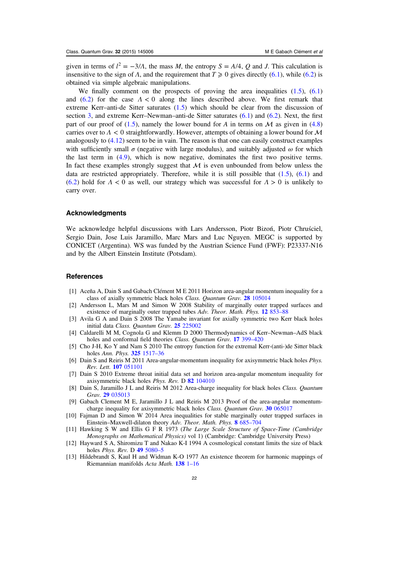<span id="page-22-0"></span>given in terms of  $l^2 = -\frac{3}{A}$ , the mass M, the entropy  $S = A/4$ , Q and J. This calculation is insensitive to the sign of  $\Lambda$ , and the requirement that  $T \ge 0$  gives directly ([6.1](#page-21-0)), while [\(6.2\)](#page-21-0) is obtained via simple algebraic manipulations.

We finally comment on the prospects of proving the area inequalities  $(1.5)$  $(1.5)$  $(1.5)$ ,  $(6.1)$  $(6.1)$  $(6.1)$ and [\(6.2\)](#page-21-0) for the case  $\Lambda < 0$  along the lines described above. We first remark that extreme Kerr–anti-de Sitter saturates ([1.5\)](#page-2-0) which should be clear from the discussion of section [3,](#page-6-0) and extreme Kerr–Newman–anti-de Sitter saturates ([6.1\)](#page-21-0) and [\(6.2\)](#page-21-0). Next, the first part of our proof of [\(1.5\)](#page-2-0), namely the lower bound for A in terms on  $\mathcal M$  as given in ([4.8](#page-10-0)) carries over to  $\Lambda < 0$  straightforwardly. However, attempts of obtaining a lower bound for  $\mathcal M$ analogously to  $(4.12)$  seem to be in vain. The reason is that one can easily construct examples with sufficiently small  $\sigma$  (negative with large modulus), and suitably adjusted  $\omega$  for which the last term in ([4.9](#page-11-0)), which is now negative, dominates the first two positive terms. In fact these examples strongly suggest that  $M$  is even unbounded from below unless the data are restricted appropriately. Therefore, while it is still possible that  $(1.5)$  $(1.5)$  $(1.5)$ ,  $(6.1)$  $(6.1)$  $(6.1)$  and ([6.2](#page-21-0)) hold for  $\Lambda < 0$  as well, our strategy which was successful for  $\Lambda > 0$  is unlikely to carry over.

#### Acknowledgments

We acknowledge helpful discussions with Lars Andersson, Piotr Bizoń, Piotr Chruściel, Sergio Dain, Jose Luis Jaramillo, Marc Mars and Luc Nguyen. MEGC is supported by CONICET (Argentina). WS was funded by the Austrian Science Fund (FWF): P23337-N16 and by the Albert Einstein Institute (Potsdam).

#### **References**

- [1] Aceña A, Dain S and Gabach Clément M E 2011 Horizon area-angular momentum inequality for a class of axially symmetric black holes Class. Quantum Grav. 28 [105014](http://dx.doi.org/10.1088/0264-9381/28/10/105014)
- [2] Andersson L, Mars M and Simon W 2008 Stability of marginally outer trapped surfaces and existence of marginally outer trapped tubes Adv. Theor. Math. Phys. 12 [853](http://dx.doi.org/10.4310/ATMP.2008.v12.n4.a5)–88
- [3] Avila G A and Dain S 2008 The Yamabe invariant for axially symmetric two Kerr black holes initial data Class. Quantum Grav. 25 [225002](http://dx.doi.org/10.1088/0264-9381/25/22/225002)
- [4] Caldarelli M M, Cognola G and Klemm D 2000 Thermodynamics of Kerr–Newman–AdS black holes and conformal field theories Class. Quantum Grav. 17 [399](http://dx.doi.org/10.1088/0264-9381/17/2/310)-420
- [5] Cho J-H, Ko Y and Nam S 2010 The entropy function for the extremal Kerr-(anti-)de Sitter black holes Ann. Phys. 325 [1517](http://dx.doi.org/10.1016/j.aop.2010.02.002)–36
- [6] Dain S and Reiris M 2011 Area-angular-momentum inequality for axisymmetric black holes Phys. Rev. Lett. 107 [051101](http://dx.doi.org/10.1103/PhysRevLett.107.051101)
- [7] Dain S 2010 Extreme throat initial data set and horizon area-angular momentum inequality for axisymmetric black holes Phys. Rev. D 82 [104010](http://dx.doi.org/10.1103/PhysRevD.82.104010)
- [8] Dain S, Jaramillo J L and Reiris M 2012 Area-charge inequality for black holes Class. Quantum Grav. 29 [035013](http://dx.doi.org/10.1088/0264-9381/29/3/035013)
- [9] Gabach Clement M E, Jaramillo J L and Reiris M 2013 Proof of the area-angular momentumcharge inequality for axisymmetric black holes *Class. Quantum Grav.* 30 [065017](http://dx.doi.org/10.1088/0264-9381/30/6/065017)
- [10] Fajman D and Simon W 2014 Area inequalities for stable marginally outer trapped surfaces in Einstein–Maxwell-dilaton theory Adv. Theor. Math. Phys. 8 [685](http://dx.doi.org/10.4310/ATMP.2014.v18.n3.a4)–704
- [11] Hawking S W and Ellis G F R 1973 (The Large Scale Structure of Space-Time (Cambridge Monographs on Mathematical Physics) vol 1) (Cambridge: Cambridge University Press)
- [12] Hayward S A, Shiromizu T and Nakao K-I 1994 A cosmological constant limits the size of black holes *Phys. Rev. D* 49 [5080](http://dx.doi.org/10.1103/PhysRevD.49.5080)-5
- [13] Hildebrandt S, Kaul H and Widman K-O 1977 An existence theorem for harmonic mappings of Riemannian manifolds Acta Math. [138](http://dx.doi.org/10.1007/BF02392311) 1–16